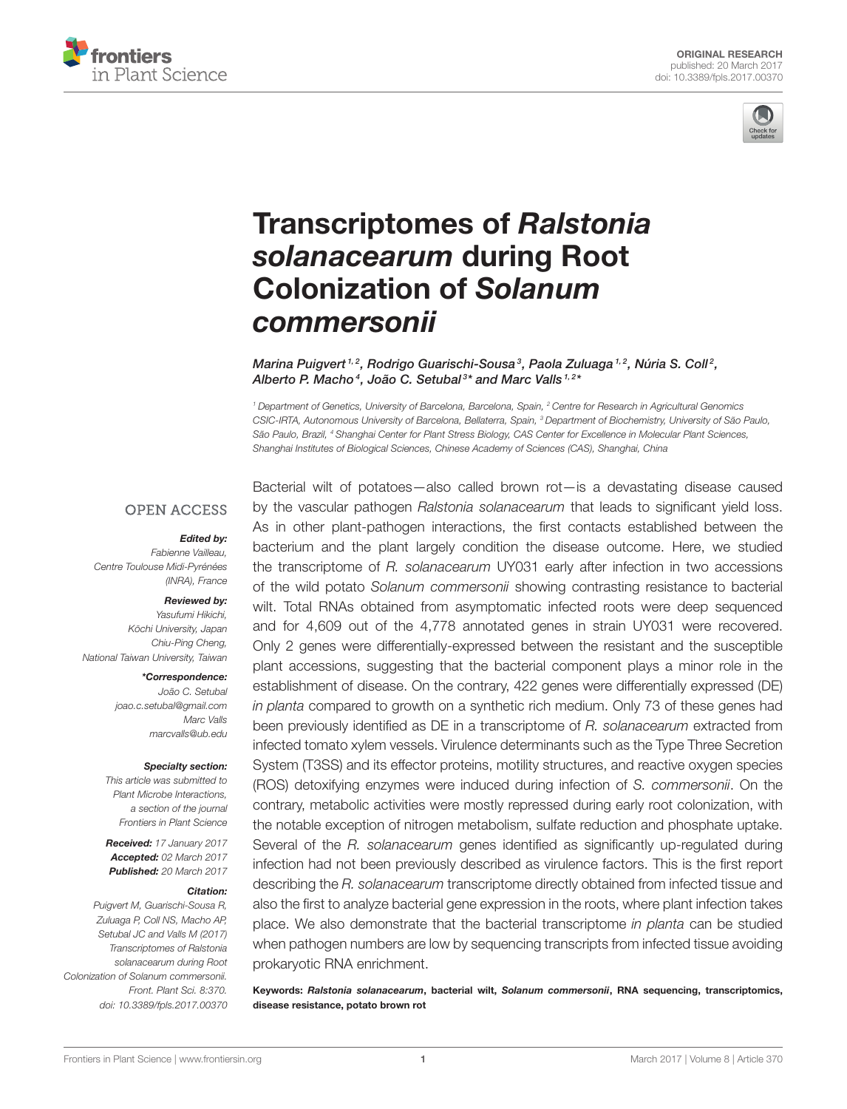



# [Transcriptomes of](http://journal.frontiersin.org/article/10.3389/fpls.2017.00370/abstract) *Ralstonia solanacearum* during Root Colonization of *Solanum commersonii*

[Marina Puigvert](http://loop.frontiersin.org/people/117331/overview)<sup>1,2</sup>, [Rodrigo Guarischi-Sousa](http://loop.frontiersin.org/people/414903/overview)<sup>3</sup>, [Paola Zuluaga](http://loop.frontiersin.org/people/122323/overview)<sup>1,2</sup>, [Núria S. Coll](http://loop.frontiersin.org/people/97317/overview)<sup>2</sup>, [Alberto P. Macho](http://loop.frontiersin.org/people/188915/overview)<sup>4</sup>, [João C. Setubal](http://loop.frontiersin.org/people/38684/overview)<sup>3\*</sup> and [Marc Valls](http://loop.frontiersin.org/people/102266/overview)<sup>1,2\*</sup>

<sup>1</sup> Department of Genetics, University of Barcelona, Barcelona, Spain, <sup>2</sup> Centre for Research in Agricultural Genomics CSIC-IRTA, Autonomous University of Barcelona, Bellaterra, Spain, <sup>3</sup> Department of Biochemistry, University of São Paulo, São Paulo, Brazil, <sup>4</sup> Shanghai Center for Plant Stress Biology, CAS Center for Excellence in Molecular Plant Sciences, Shanghai Institutes of Biological Sciences, Chinese Academy of Sciences (CAS), Shanghai, China

#### **OPEN ACCESS**

#### *Edited by:*

Fabienne Vailleau, Centre Toulouse Midi-Pyrénées (INRA), France

#### *Reviewed by:*

Yasufumi Hikichi, Kōchi University, Japan Chiu-Ping Cheng, National Taiwan University, Taiwan

#### *\*Correspondence:*

João C. Setubal [joao.c.setubal@gmail.com](mailto:joao.c.setubal@gmail.com) Marc Valls [marcvalls@ub.edu](mailto:marcvalls@ub.edu)

#### *Specialty section:*

This article was submitted to Plant Microbe Interactions, a section of the journal Frontiers in Plant Science

*Received:* 17 January 2017 *Accepted:* 02 March 2017 *Published:* 20 March 2017

#### *Citation:*

Puigvert M, Guarischi-Sousa R, Zuluaga P, Coll NS, Macho AP, Setubal JC and Valls M (2017) Transcriptomes of Ralstonia solanacearum during Root Colonization of Solanum commersonii. Front. Plant Sci. 8:370. doi: [10.3389/fpls.2017.00370](https://doi.org/10.3389/fpls.2017.00370)

Bacterial wilt of potatoes—also called brown rot—is a devastating disease caused by the vascular pathogen Ralstonia solanacearum that leads to significant yield loss. As in other plant-pathogen interactions, the first contacts established between the bacterium and the plant largely condition the disease outcome. Here, we studied the transcriptome of R. solanacearum UY031 early after infection in two accessions of the wild potato Solanum commersonii showing contrasting resistance to bacterial wilt. Total RNAs obtained from asymptomatic infected roots were deep sequenced and for 4,609 out of the 4,778 annotated genes in strain UY031 were recovered. Only 2 genes were differentially-expressed between the resistant and the susceptible plant accessions, suggesting that the bacterial component plays a minor role in the establishment of disease. On the contrary, 422 genes were differentially expressed (DE) in planta compared to growth on a synthetic rich medium. Only 73 of these genes had been previously identified as DE in a transcriptome of R. solanacearum extracted from infected tomato xylem vessels. Virulence determinants such as the Type Three Secretion System (T3SS) and its effector proteins, motility structures, and reactive oxygen species (ROS) detoxifying enzymes were induced during infection of S. commersonii. On the contrary, metabolic activities were mostly repressed during early root colonization, with the notable exception of nitrogen metabolism, sulfate reduction and phosphate uptake. Several of the R. solanacearum genes identified as significantly up-regulated during infection had not been previously described as virulence factors. This is the first report describing the R. solanacearum transcriptome directly obtained from infected tissue and also the first to analyze bacterial gene expression in the roots, where plant infection takes place. We also demonstrate that the bacterial transcriptome in planta can be studied when pathogen numbers are low by sequencing transcripts from infected tissue avoiding prokaryotic RNA enrichment.

Keywords: *Ralstonia solanacearum*, bacterial wilt, *Solanum commersonii*, RNA sequencing, transcriptomics, disease resistance, potato brown rot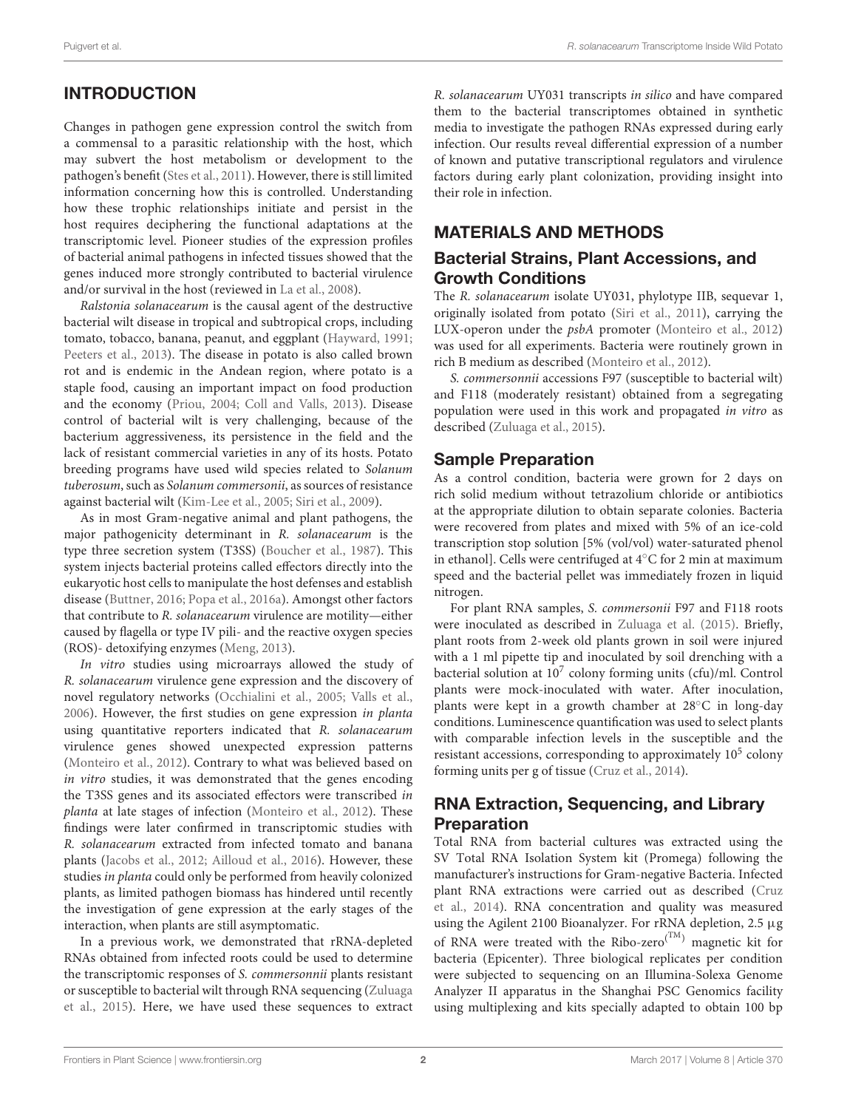# INTRODUCTION

Changes in pathogen gene expression control the switch from a commensal to a parasitic relationship with the host, which may subvert the host metabolism or development to the pathogen's benefit [\(Stes et al., 2011\)](#page-16-0). However, there is still limited information concerning how this is controlled. Understanding how these trophic relationships initiate and persist in the host requires deciphering the functional adaptations at the transcriptomic level. Pioneer studies of the expression profiles of bacterial animal pathogens in infected tissues showed that the genes induced more strongly contributed to bacterial virulence and/or survival in the host (reviewed in [La et al., 2008\)](#page-15-0).

Ralstonia solanacearum is the causal agent of the destructive bacterial wilt disease in tropical and subtropical crops, including tomato, tobacco, banana, peanut, and eggplant [\(Hayward, 1991;](#page-15-1) [Peeters et al., 2013\)](#page-16-1). The disease in potato is also called brown rot and is endemic in the Andean region, where potato is a staple food, causing an important impact on food production and the economy [\(Priou, 2004;](#page-16-2) [Coll and Valls, 2013\)](#page-14-0). Disease control of bacterial wilt is very challenging, because of the bacterium aggressiveness, its persistence in the field and the lack of resistant commercial varieties in any of its hosts. Potato breeding programs have used wild species related to Solanum tuberosum, such as Solanum commersonii, as sources of resistance against bacterial wilt [\(Kim-Lee et al., 2005;](#page-15-2) [Siri et al., 2009\)](#page-16-3).

As in most Gram-negative animal and plant pathogens, the major pathogenicity determinant in R. solanacearum is the type three secretion system (T3SS) [\(Boucher et al., 1987\)](#page-14-1). This system injects bacterial proteins called effectors directly into the eukaryotic host cells to manipulate the host defenses and establish disease [\(Buttner, 2016;](#page-14-2) [Popa et al., 2016a\)](#page-16-4). Amongst other factors that contribute to R. solanacearum virulence are motility—either caused by flagella or type IV pili- and the reactive oxygen species (ROS)- detoxifying enzymes [\(Meng, 2013\)](#page-15-3).

In vitro studies using microarrays allowed the study of R. solanacearum virulence gene expression and the discovery of novel regulatory networks [\(Occhialini et al., 2005;](#page-16-5) [Valls et al.,](#page-16-6) [2006\)](#page-16-6). However, the first studies on gene expression in planta using quantitative reporters indicated that R. solanacearum virulence genes showed unexpected expression patterns [\(Monteiro et al., 2012\)](#page-15-4). Contrary to what was believed based on in vitro studies, it was demonstrated that the genes encoding the T3SS genes and its associated effectors were transcribed in planta at late stages of infection [\(Monteiro et al., 2012\)](#page-15-4). These findings were later confirmed in transcriptomic studies with R. solanacearum extracted from infected tomato and banana plants [\(Jacobs et al., 2012;](#page-15-5) [Ailloud et al., 2016\)](#page-14-3). However, these studies in planta could only be performed from heavily colonized plants, as limited pathogen biomass has hindered until recently the investigation of gene expression at the early stages of the interaction, when plants are still asymptomatic.

In a previous work, we demonstrated that rRNA-depleted RNAs obtained from infected roots could be used to determine the transcriptomic responses of S. commersonnii plants resistant or susceptible to bacterial wilt through RNA sequencing (Zuluaga et al., [2015\)](#page-16-7). Here, we have used these sequences to extract R. solanacearum UY031 transcripts in silico and have compared them to the bacterial transcriptomes obtained in synthetic media to investigate the pathogen RNAs expressed during early infection. Our results reveal differential expression of a number of known and putative transcriptional regulators and virulence factors during early plant colonization, providing insight into their role in infection.

# MATERIALS AND METHODS

### Bacterial Strains, Plant Accessions, and Growth Conditions

The R. solanacearum isolate UY031, phylotype IIB, sequevar 1, originally isolated from potato [\(Siri et al., 2011\)](#page-16-8), carrying the LUX-operon under the psbA promoter [\(Monteiro et al., 2012\)](#page-15-4) was used for all experiments. Bacteria were routinely grown in rich B medium as described [\(Monteiro et al., 2012\)](#page-15-4).

S. commersonnii accessions F97 (susceptible to bacterial wilt) and F118 (moderately resistant) obtained from a segregating population were used in this work and propagated in vitro as described [\(Zuluaga et al., 2015\)](#page-16-7).

#### Sample Preparation

As a control condition, bacteria were grown for 2 days on rich solid medium without tetrazolium chloride or antibiotics at the appropriate dilution to obtain separate colonies. Bacteria were recovered from plates and mixed with 5% of an ice-cold transcription stop solution [5% (vol/vol) water-saturated phenol in ethanol]. Cells were centrifuged at 4◦C for 2 min at maximum speed and the bacterial pellet was immediately frozen in liquid nitrogen.

For plant RNA samples, S. commersonii F97 and F118 roots were inoculated as described in [Zuluaga et al. \(2015\)](#page-16-7). Briefly, plant roots from 2-week old plants grown in soil were injured with a 1 ml pipette tip and inoculated by soil drenching with a bacterial solution at 10<sup>7</sup> colony forming units (cfu)/ml. Control plants were mock-inoculated with water. After inoculation, plants were kept in a growth chamber at 28◦C in long-day conditions. Luminescence quantification was used to select plants with comparable infection levels in the susceptible and the resistant accessions, corresponding to approximately  $10<sup>5</sup>$  colony forming units per g of tissue [\(Cruz et al., 2014\)](#page-15-6).

# RNA Extraction, Sequencing, and Library Preparation

Total RNA from bacterial cultures was extracted using the SV Total RNA Isolation System kit (Promega) following the manufacturer's instructions for Gram-negative Bacteria. Infected plant RNA extractions were carried out as described (Cruz et al., [2014\)](#page-15-6). RNA concentration and quality was measured using the Agilent 2100 Bioanalyzer. For rRNA depletion, 2.5 µg of RNA were treated with the Ribo-zero<sup>(TM)</sup> magnetic kit for bacteria (Epicenter). Three biological replicates per condition were subjected to sequencing on an Illumina-Solexa Genome Analyzer II apparatus in the Shanghai PSC Genomics facility using multiplexing and kits specially adapted to obtain 100 bp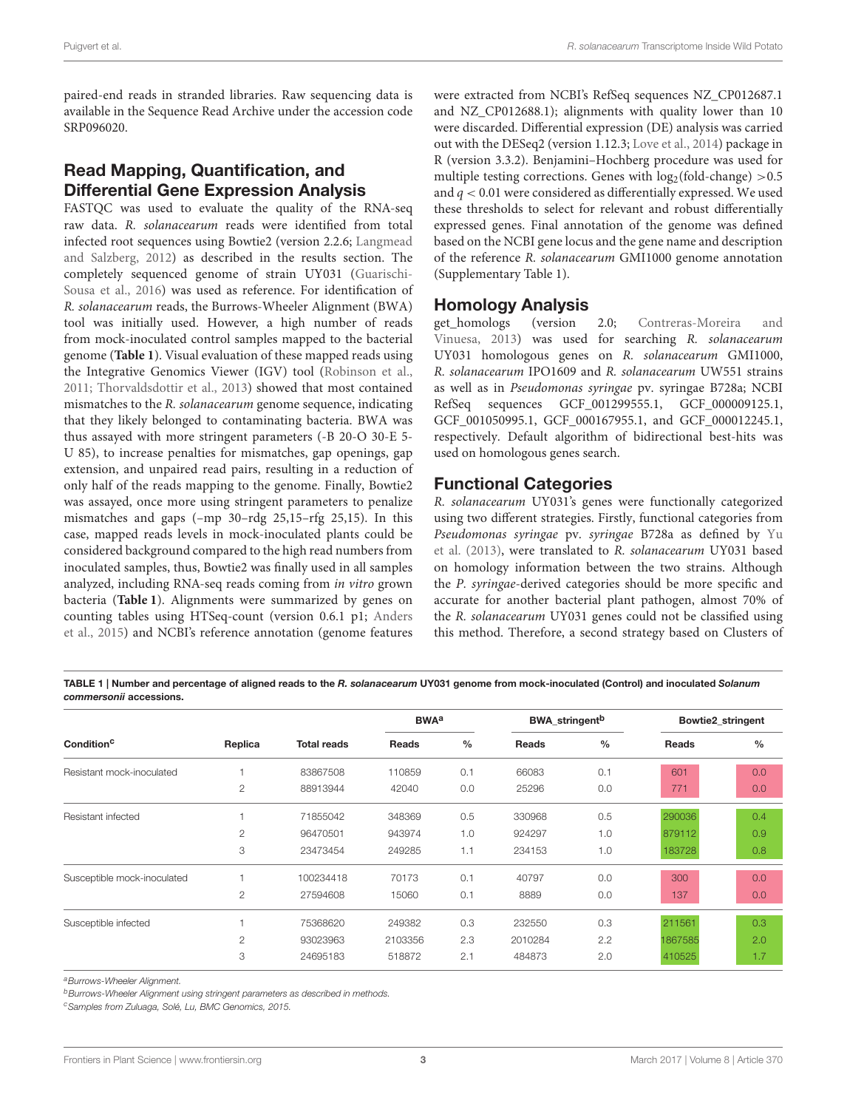paired-end reads in stranded libraries. Raw sequencing data is available in the Sequence Read Archive under the accession code SRP096020.

# Read Mapping, Quantification, and Differential Gene Expression Analysis

FASTQC was used to evaluate the quality of the RNA-seq raw data. R. solanacearum reads were identified from total infected root sequences using Bowtie2 (version 2.2.6; Langmead and Salzberg, [2012\)](#page-15-7) as described in the results section. The completely sequenced genome of strain UY031 (Guarischi-Sousa et al., [2016\)](#page-15-8) was used as reference. For identification of R. solanacearum reads, the Burrows-Wheeler Alignment (BWA) tool was initially used. However, a high number of reads from mock-inoculated control samples mapped to the bacterial genome (**[Table 1](#page-2-0)**). Visual evaluation of these mapped reads using the Integrative Genomics Viewer (IGV) tool [\(Robinson et al.,](#page-16-9) [2011;](#page-16-9) [Thorvaldsdottir et al., 2013\)](#page-16-10) showed that most contained mismatches to the R. solanacearum genome sequence, indicating that they likely belonged to contaminating bacteria. BWA was thus assayed with more stringent parameters (-B 20-O 30-E 5- U 85), to increase penalties for mismatches, gap openings, gap extension, and unpaired read pairs, resulting in a reduction of only half of the reads mapping to the genome. Finally, Bowtie2 was assayed, once more using stringent parameters to penalize mismatches and gaps (–mp 30–rdg 25,15–rfg 25,15). In this case, mapped reads levels in mock-inoculated plants could be considered background compared to the high read numbers from inoculated samples, thus, Bowtie2 was finally used in all samples analyzed, including RNA-seq reads coming from in vitro grown bacteria (**[Table 1](#page-2-0)**). Alignments were summarized by genes on counting tables using HTSeq-count (version 0.6.1 p1; Anders et al., [2015\)](#page-14-4) and NCBI's reference annotation (genome features were extracted from NCBI's RefSeq sequences NZ\_CP012687.1 and NZ CP012688.1); alignments with quality lower than 10 were discarded. Differential expression (DE) analysis was carried out with the DESeq2 (version 1.12.3; [Love et al., 2014\)](#page-15-9) package in R (version 3.3.2). Benjamini–Hochberg procedure was used for multiple testing corrections. Genes with  $log_2(fold-change) > 0.5$ and  $q < 0.01$  were considered as differentially expressed. We used these thresholds to select for relevant and robust differentially expressed genes. Final annotation of the genome was defined based on the NCBI gene locus and the gene name and description of the reference R. solanacearum GMI1000 genome annotation (Supplementary Table 1).

#### Homology Analysis

get\_homologs (version 2.0; Contreras-Moreira and Vinuesa, [2013\)](#page-14-5) was used for searching R. solanacearum UY031 homologous genes on R. solanacearum GMI1000, R. solanacearum IPO1609 and R. solanacearum UW551 strains as well as in Pseudomonas syringae pv. syringae B728a; NCBI RefSeq sequences GCF\_001299555.1, GCF\_000009125.1, GCF\_001050995.1, GCF\_000167955.1, and GCF\_000012245.1, respectively. Default algorithm of bidirectional best-hits was used on homologous genes search.

### Functional Categories

R. solanacearum UY031's genes were functionally categorized using two different strategies. Firstly, functional categories from Pseudomonas syringae pv. syringae B728a as defined by Yu et al. [\(2013\)](#page-16-11), were translated to R. solanacearum UY031 based on homology information between the two strains. Although the P. syringae-derived categories should be more specific and accurate for another bacterial plant pathogen, almost 70% of the R. solanacearum UY031 genes could not be classified using this method. Therefore, a second strategy based on Clusters of

<span id="page-2-0"></span>TABLE 1 | Number and percentage of aligned reads to the *R. solanacearum* UY031 genome from mock-inoculated (Control) and inoculated *Solanum commersonii* accessions.

|                             |                |                    | <b>BWA</b> <sup>a</sup> |               | <b>BWA</b> stringent <sup>b</sup> |               |         | Bowtie2 stringent |
|-----------------------------|----------------|--------------------|-------------------------|---------------|-----------------------------------|---------------|---------|-------------------|
| Condition <sup>c</sup>      | Replica        | <b>Total reads</b> | Reads                   | $\frac{0}{0}$ | Reads                             | $\frac{0}{0}$ | Reads   | $\frac{0}{0}$     |
| Resistant mock-inoculated   |                | 83867508           | 110859                  | 0.1           | 66083                             | 0.1           | 601     | 0.0               |
|                             | $\mathbf{2}$   | 88913944           | 42040                   | 0.0           | 25296                             | 0.0           | 771     | 0.0               |
| Resistant infected          |                | 71855042           | 348369                  | 0.5           | 330968                            | 0.5           | 290036  | 0.4               |
|                             | $\mathbf{2}$   | 96470501           | 943974                  | 1.0           | 924297                            | 1.0           | 879112  | 0.9               |
|                             | 3              | 23473454           | 249285                  | 1.1           | 234153                            | 1.0           | 183728  | 0.8               |
| Susceptible mock-inoculated |                | 100234418          | 70173                   | 0.1           | 40797                             | 0.0           | 300     | 0.0               |
|                             | $\overline{2}$ | 27594608           | 15060                   | 0.1           | 8889                              | 0.0           | 137     | 0.0               |
| Susceptible infected        |                | 75368620           | 249382                  | 0.3           | 232550                            | 0.3           | 211561  | 0.3               |
|                             | 2              | 93023963           | 2103356                 | 2.3           | 2010284                           | 2.2           | 1867585 | 2.0               |
|                             | 3              | 24695183           | 518872                  | 2.1           | 484873                            | 2.0           | 410525  | 1.7               |

a Burrows-Wheeler Alignment.

**b**Burrows-Wheeler Alignment using stringent parameters as described in methods.

<sup>c</sup> Samples from Zuluaga, Solé, Lu, BMC Genomics, 2015.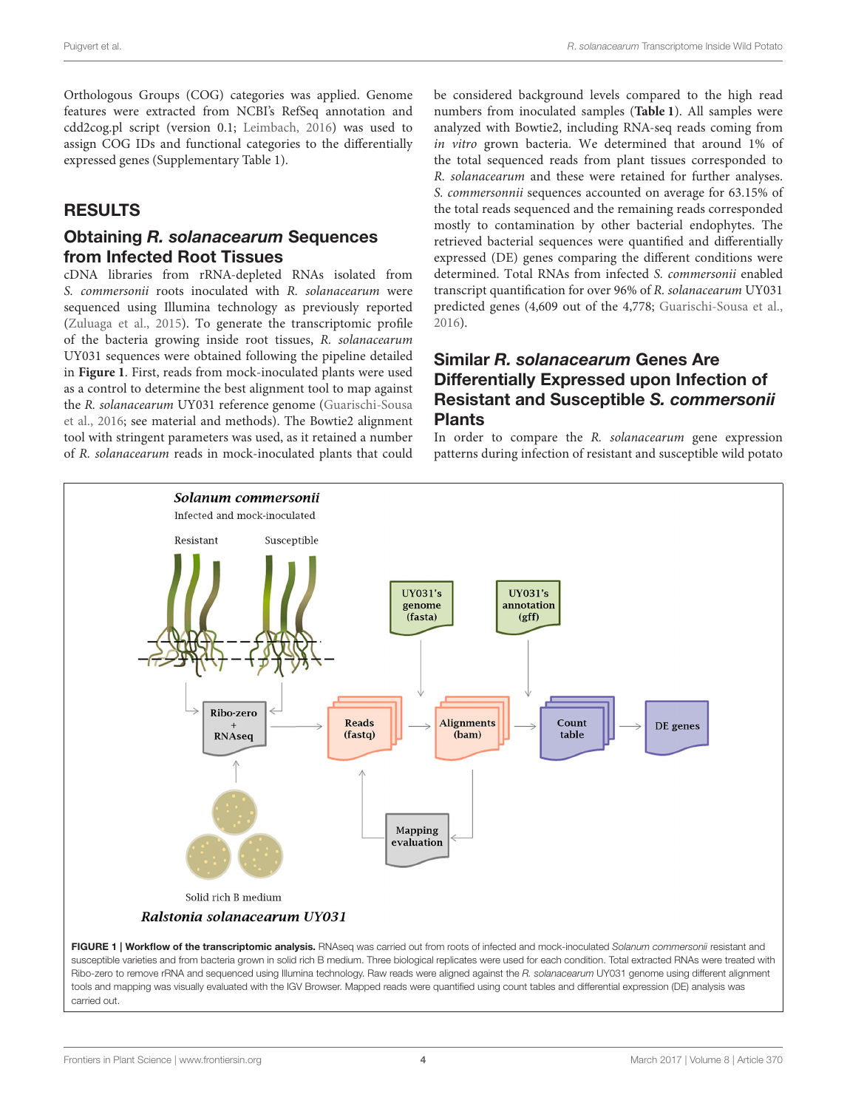Orthologous Groups (COG) categories was applied. Genome features were extracted from NCBI's RefSeq annotation and cdd2cog.pl script (version 0.1; [Leimbach, 2016\)](#page-15-10) was used to assign COG IDs and functional categories to the differentially expressed genes (Supplementary Table 1).

# RESULTS

#### Obtaining *R. solanacearum* Sequences from Infected Root Tissues

cDNA libraries from rRNA-depleted RNAs isolated from S. commersonii roots inoculated with R. solanacearum were sequenced using Illumina technology as previously reported [\(Zuluaga et al., 2015\)](#page-16-7). To generate the transcriptomic profile of the bacteria growing inside root tissues, R. solanacearum UY031 sequences were obtained following the pipeline detailed in **[Figure 1](#page-3-0)**. First, reads from mock-inoculated plants were used as a control to determine the best alignment tool to map against the R. solanacearum UY031 reference genome (Guarischi-Sousa et al., [2016;](#page-15-8) see material and methods). The Bowtie2 alignment tool with stringent parameters was used, as it retained a number of R. solanacearum reads in mock-inoculated plants that could be considered background levels compared to the high read numbers from inoculated samples (**[Table 1](#page-2-0)**). All samples were analyzed with Bowtie2, including RNA-seq reads coming from in vitro grown bacteria. We determined that around 1% of the total sequenced reads from plant tissues corresponded to R. solanacearum and these were retained for further analyses. S. commersonnii sequences accounted on average for 63.15% of the total reads sequenced and the remaining reads corresponded mostly to contamination by other bacterial endophytes. The retrieved bacterial sequences were quantified and differentially expressed (DE) genes comparing the different conditions were determined. Total RNAs from infected S. commersonii enabled transcript quantification for over 96% of R. solanacearum UY031 predicted genes (4,609 out of the 4,778; [Guarischi-Sousa et al.,](#page-15-8) [2016\)](#page-15-8).

### Similar *R. solanacearum* Genes Are Differentially Expressed upon Infection of Resistant and Susceptible *S. commersonii* Plants

In order to compare the R. solanacearum gene expression patterns during infection of resistant and susceptible wild potato



<span id="page-3-0"></span>FIGURE 1 | Workflow of the transcriptomic analysis. RNAseq was carried out from roots of infected and mock-inoculated Solanum commersonii resistant and susceptible varieties and from bacteria grown in solid rich B medium. Three biological replicates were used for each condition. Total extracted RNAs were treated with Ribo-zero to remove rRNA and sequenced using Illumina technology. Raw reads were aligned against the R. solanacearum UY031 genome using different alignment tools and mapping was visually evaluated with the IGV Browser. Mapped reads were quantified using count tables and differential expression (DE) analysis was carried out.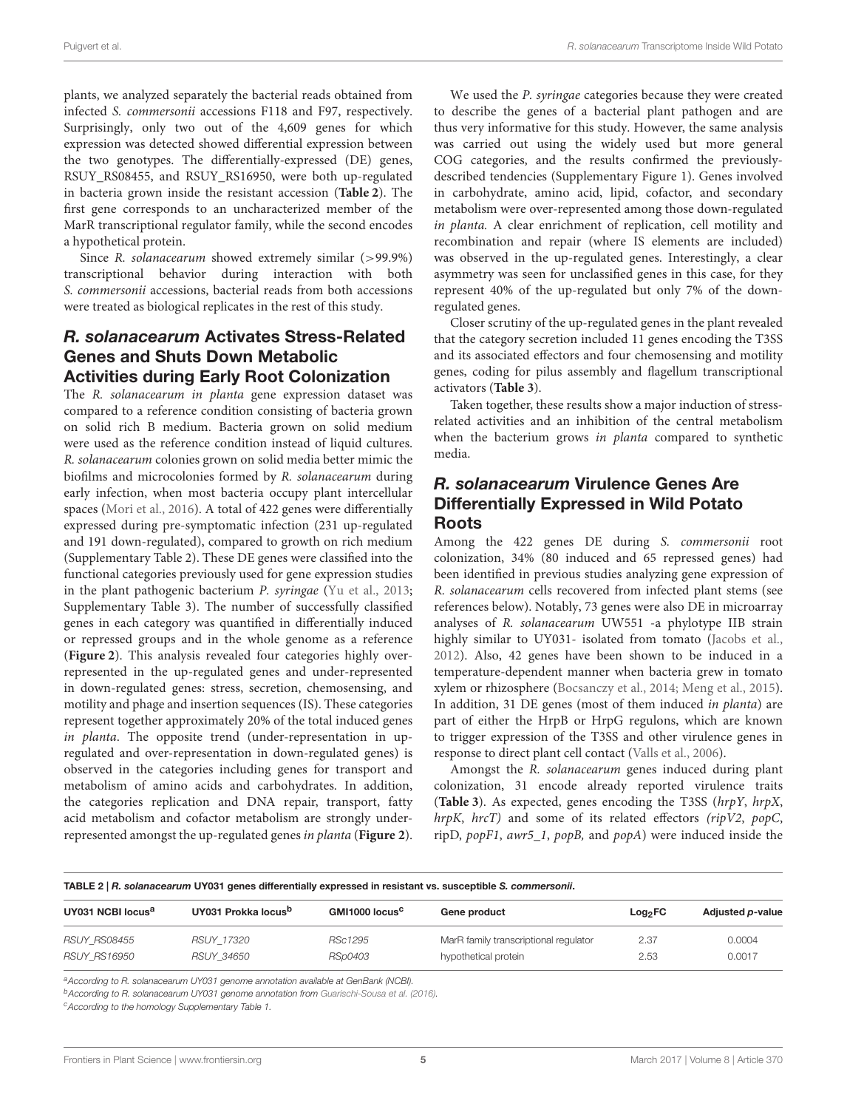plants, we analyzed separately the bacterial reads obtained from infected S. commersonii accessions F118 and F97, respectively. Surprisingly, only two out of the 4,609 genes for which expression was detected showed differential expression between the two genotypes. The differentially-expressed (DE) genes, RSUY\_RS08455, and RSUY\_RS16950, were both up-regulated in bacteria grown inside the resistant accession (**[Table 2](#page-4-0)**). The first gene corresponds to an uncharacterized member of the MarR transcriptional regulator family, while the second encodes a hypothetical protein.

Since R. solanacearum showed extremely similar (>99.9%) transcriptional behavior during interaction with both S. commersonii accessions, bacterial reads from both accessions were treated as biological replicates in the rest of this study.

#### *R. solanacearum* Activates Stress-Related Genes and Shuts Down Metabolic Activities during Early Root Colonization

The R. solanacearum in planta gene expression dataset was compared to a reference condition consisting of bacteria grown on solid rich B medium. Bacteria grown on solid medium were used as the reference condition instead of liquid cultures. R. solanacearum colonies grown on solid media better mimic the biofilms and microcolonies formed by R. solanacearum during early infection, when most bacteria occupy plant intercellular spaces [\(Mori et al., 2016\)](#page-15-11). A total of 422 genes were differentially expressed during pre-symptomatic infection (231 up-regulated and 191 down-regulated), compared to growth on rich medium (Supplementary Table 2). These DE genes were classified into the functional categories previously used for gene expression studies in the plant pathogenic bacterium P. syringae [\(Yu et al., 2013;](#page-16-11) Supplementary Table 3). The number of successfully classified genes in each category was quantified in differentially induced or repressed groups and in the whole genome as a reference (**[Figure 2](#page-5-0)**). This analysis revealed four categories highly overrepresented in the up-regulated genes and under-represented in down-regulated genes: stress, secretion, chemosensing, and motility and phage and insertion sequences (IS). These categories represent together approximately 20% of the total induced genes in planta. The opposite trend (under-representation in upregulated and over-representation in down-regulated genes) is observed in the categories including genes for transport and metabolism of amino acids and carbohydrates. In addition, the categories replication and DNA repair, transport, fatty acid metabolism and cofactor metabolism are strongly underrepresented amongst the up-regulated genes in planta (**[Figure 2](#page-5-0)**).

We used the P. syringae categories because they were created to describe the genes of a bacterial plant pathogen and are thus very informative for this study. However, the same analysis was carried out using the widely used but more general COG categories, and the results confirmed the previouslydescribed tendencies (Supplementary Figure 1). Genes involved in carbohydrate, amino acid, lipid, cofactor, and secondary metabolism were over-represented among those down-regulated in planta. A clear enrichment of replication, cell motility and recombination and repair (where IS elements are included) was observed in the up-regulated genes. Interestingly, a clear asymmetry was seen for unclassified genes in this case, for they represent 40% of the up-regulated but only 7% of the downregulated genes.

Closer scrutiny of the up-regulated genes in the plant revealed that the category secretion included 11 genes encoding the T3SS and its associated effectors and four chemosensing and motility genes, coding for pilus assembly and flagellum transcriptional activators (**[Table 3](#page-6-0)**).

Taken together, these results show a major induction of stressrelated activities and an inhibition of the central metabolism when the bacterium grows in planta compared to synthetic media.

### *R. solanacearum* Virulence Genes Are Differentially Expressed in Wild Potato Roots

Among the 422 genes DE during S. commersonii root colonization, 34% (80 induced and 65 repressed genes) had been identified in previous studies analyzing gene expression of R. solanacearum cells recovered from infected plant stems (see references below). Notably, 73 genes were also DE in microarray analyses of R. solanacearum UW551 -a phylotype IIB strain highly similar to UY031- isolated from tomato [\(Jacobs et al.,](#page-15-5) [2012\)](#page-15-5). Also, 42 genes have been shown to be induced in a temperature-dependent manner when bacteria grew in tomato xylem or rhizosphere [\(Bocsanczy et al., 2014;](#page-14-6) [Meng et al., 2015\)](#page-15-12). In addition, 31 DE genes (most of them induced in planta) are part of either the HrpB or HrpG regulons, which are known to trigger expression of the T3SS and other virulence genes in response to direct plant cell contact [\(Valls et al., 2006\)](#page-16-6).

Amongst the R. solanacearum genes induced during plant colonization, 31 encode already reported virulence traits (**[Table 3](#page-6-0)**). As expected, genes encoding the T3SS (hrpY, hrpX, hrpK, hrcT) and some of its related effectors (ripV2, popC, ripD, popF1, awr5\_1, popB, and popA) were induced inside the

<span id="page-4-0"></span>

|                               |                                 |                            | TABLE 2   R. solanacearum UY031 genes differentially expressed in resistant vs. susceptible S. commersonii. |                     |                  |
|-------------------------------|---------------------------------|----------------------------|-------------------------------------------------------------------------------------------------------------|---------------------|------------------|
| UY031 NCBI locus <sup>a</sup> | UY031 Prokka locus <sup>b</sup> | GMI1000 locus <sup>c</sup> | Gene product                                                                                                | Log <sub>2</sub> FC | Adjusted p-value |
| RSUY RS08455                  | RSUY 17320                      | RSc1295                    | MarR family transcriptional regulator                                                                       | 2.37                | 0.0004           |
| <i>RSUY RS16950</i>           | RSUY 34650                      | RSp0403                    | hypothetical protein                                                                                        | 2.53                | 0.0017           |

a According to R. solanacearum UY031 genome annotation available at GenBank (NCBI).

<sup>b</sup>According to R. solanacearum UY031 genome annotation from [Guarischi-Sousa et al. \(2016\)](#page-15-8).

<sup>c</sup> According to the homology Supplementary Table 1.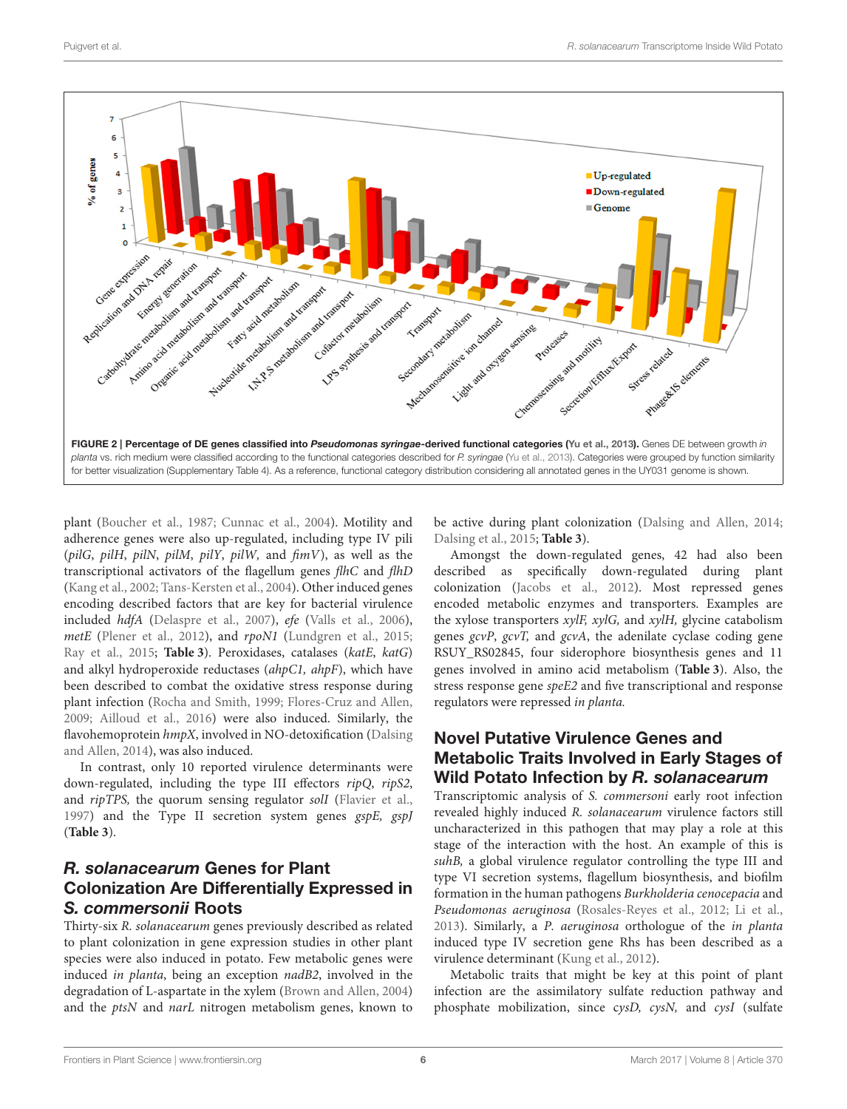

<span id="page-5-0"></span>plant [\(Boucher et al., 1987;](#page-14-1) [Cunnac et al., 2004\)](#page-15-13). Motility and adherence genes were also up-regulated, including type IV pili (pilG, pilH, pilN, pilM, pilY, pilW, and fimV), as well as the transcriptional activators of the flagellum genes flhC and flhD [\(Kang et al., 2002;](#page-15-14) [Tans-Kersten et al., 2004\)](#page-16-12). Other induced genes encoding described factors that are key for bacterial virulence included hdfA [\(Delaspre et al., 2007\)](#page-15-15), efe [\(Valls et al., 2006\)](#page-16-6), metE [\(Plener et al., 2012\)](#page-16-13), and rpoN1 [\(Lundgren et al., 2015;](#page-15-16) [Ray et al., 2015;](#page-16-14) **[Table 3](#page-6-0)**). Peroxidases, catalases (katE, katG) and alkyl hydroperoxide reductases (ahpC1, ahpF), which have been described to combat the oxidative stress response during plant infection [\(Rocha and Smith, 1999;](#page-16-15) [Flores-Cruz and Allen,](#page-15-17) [2009;](#page-15-17) [Ailloud et al., 2016\)](#page-14-3) were also induced. Similarly, the flavohemoprotein hmpX, involved in NO-detoxification (Dalsing and Allen, [2014\)](#page-15-18), was also induced.

In contrast, only 10 reported virulence determinants were down-regulated, including the type III effectors ripQ, ripS2, and ripTPS, the quorum sensing regulator solI [\(Flavier et al.,](#page-15-19) [1997\)](#page-15-19) and the Type II secretion system genes gspE, gspJ (**[Table 3](#page-6-0)**).

# *R. solanacearum* Genes for Plant Colonization Are Differentially Expressed in *S. commersonii* Roots

Thirty-six R. solanacearum genes previously described as related to plant colonization in gene expression studies in other plant species were also induced in potato. Few metabolic genes were induced in planta, being an exception nadB2, involved in the degradation of L-aspartate in the xylem [\(Brown and Allen, 2004\)](#page-14-7) and the *ptsN* and *narL* nitrogen metabolism genes, known to be active during plant colonization [\(Dalsing and Allen, 2014;](#page-15-18) [Dalsing et al., 2015;](#page-15-20) **[Table 3](#page-6-0)**).

Amongst the down-regulated genes, 42 had also been described as specifically down-regulated during plant colonization [\(Jacobs et al., 2012\)](#page-15-5). Most repressed genes encoded metabolic enzymes and transporters. Examples are the xylose transporters  $xylF$ ,  $xylG$ , and  $xylH$ , glycine catabolism genes gcvP, gcvT, and gcvA, the adenilate cyclase coding gene RSUY\_RS02845, four siderophore biosynthesis genes and 11 genes involved in amino acid metabolism (**[Table 3](#page-6-0)**). Also, the stress response gene speE2 and five transcriptional and response regulators were repressed in planta.

### Novel Putative Virulence Genes and Metabolic Traits Involved in Early Stages of Wild Potato Infection by *R. solanacearum*

Transcriptomic analysis of S. commersoni early root infection revealed highly induced R. solanacearum virulence factors still uncharacterized in this pathogen that may play a role at this stage of the interaction with the host. An example of this is suhB, a global virulence regulator controlling the type III and type VI secretion systems, flagellum biosynthesis, and biofilm formation in the human pathogens Burkholderia cenocepacia and Pseudomonas aeruginosa [\(Rosales-Reyes et al., 2012;](#page-16-16) [Li et al.,](#page-15-21) [2013\)](#page-15-21). Similarly, a P. aeruginosa orthologue of the in planta induced type IV secretion gene Rhs has been described as a virulence determinant [\(Kung et al., 2012\)](#page-15-22).

Metabolic traits that might be key at this point of plant infection are the assimilatory sulfate reduction pathway and phosphate mobilization, since cysD, cysN, and cysI (sulfate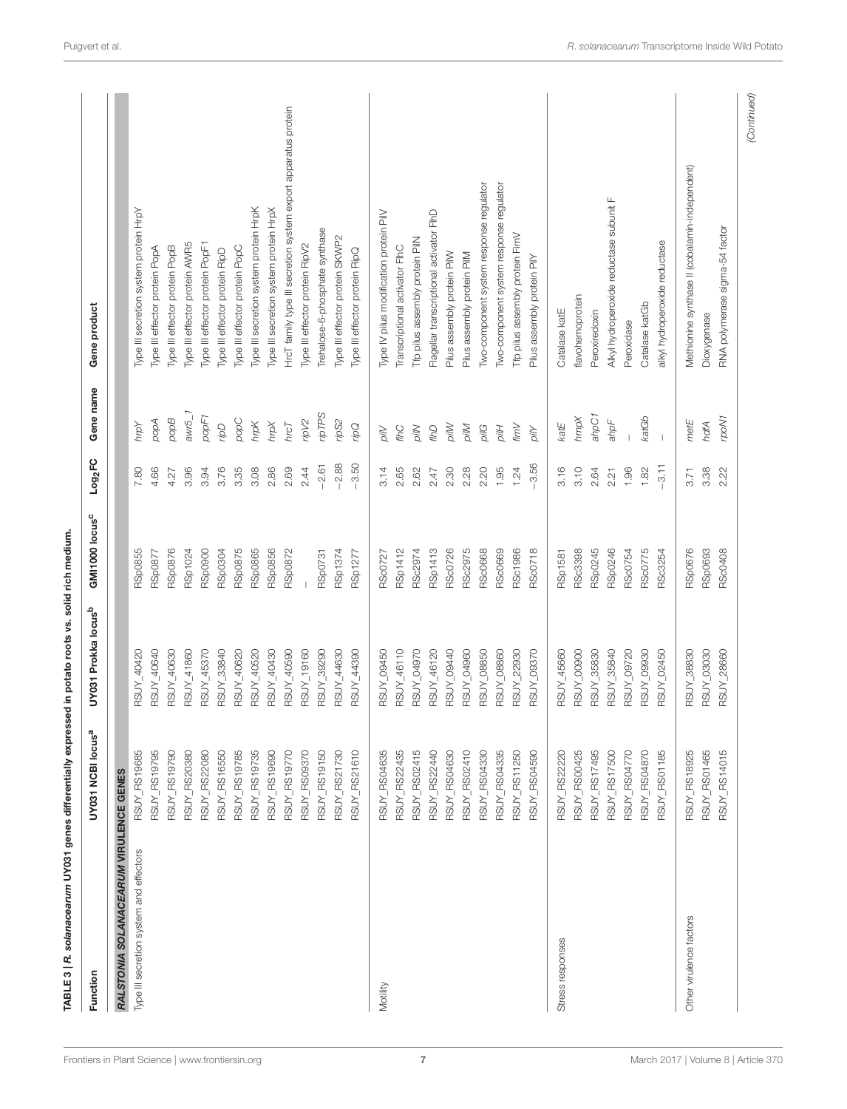<span id="page-6-0"></span>

| Function                                | UY031 NCBI locus <sup>a</sup> | UY031 Prokka locus <sup>b</sup> | GMI1000 locus <sup>c</sup> | Log <sub>2</sub> FC | Gene name   | Gene product                                                   |
|-----------------------------------------|-------------------------------|---------------------------------|----------------------------|---------------------|-------------|----------------------------------------------------------------|
| RALSTONIA SOLANACEARUM VIRULENCE GENES  |                               |                                 |                            |                     |             |                                                                |
| Type III secretion system and effectors | RSUY_RS19685                  | RSUY_40420                      | RSp0855                    | 7.80                | Yalu        | Type III secretion system protein HrpY                         |
|                                         | RSUY_RS19795                  | ROOK_NUSE                       | RSp0877                    | 4.66                | popA        | Type III effector protein PopA                                 |
|                                         | RSUY_RS19790                  | RSUY_40630                      | <b>RSp0876</b>             | 4.27                | Bobod       | Type III effector protein PopB                                 |
|                                         | RSUY_RS20380                  | RSUY_41860                      | RSp1024                    | 3.96                | $awr5_1$    | Type III effector protein AWR5                                 |
|                                         | RSUY_RS22080                  | RSUY_45370                      | <b>Repose</b>              | 3.94                | popF1       | Type III effector protein PopF1                                |
|                                         | RSUY_RS16550                  | RSUY_33840                      | <b>ROSOOSF</b>             | 3.76                | adi         | Type III effector protein RipD                                 |
|                                         | RSUY_RS19785                  | RSUY_40620                      | RSp0875                    | 3.35                | popC        | Type III effector protein PopC                                 |
|                                         | RSUY_RS19735                  | RSUY_40520                      | RSp0865                    | 3.08                | ydių        | Type III secretion system protein HrpK                         |
|                                         | RSUY_RS19690                  | RSUY_40430                      | <b>RSp0856</b>             | 2.86                | kau         | Type III secretion system protein HrpX                         |
|                                         | RSUY_RS19770                  | RSUY_40590                      | <b>RSp0872</b>             | 2.69                | $h$ rc $T$  | HrcT family type III secretion system export apparatus protein |
|                                         | <b>RSUY_RS09370</b>           | RSUY_19160                      |                            | 2.44                | ripV2       | Type III effector protein RipV2                                |
|                                         | RSUY_RS19150                  | RSUY_39290                      | <b>RSp0731</b>             | $-2.61$             | ripTPS      | Trehalose-6-phosphate synthase                                 |
|                                         | RSUY_RS21730                  | RSUY_44630                      | RSp1374                    | $-2.88$             | ripS2       | Type III effector protein SKWP2                                |
|                                         | RSUY_RS21610                  | RSUY_44390                      | RSp1277                    | $-3.50$             | pdi         | Type III effector protein RipQ                                 |
| Motility                                | RSUY_RS04635                  | RSUY_09450                      | RSc0727                    | 3.14                | pilV        | Type IV pilus modification protein PilV                        |
|                                         | RSUY_RS22435                  | RSUY_46110                      | RSp1412                    | 2.65                | flhC        | Transcriptional activator FIhC                                 |
|                                         | RSUY_RS02415                  | RSUY_04970                      | RSc2974                    | 2.62                | pilN        | Tfp pilus assembly protein PilN                                |
|                                         | RSUY_RS22440                  | RSUY_46120                      | <b>RSp1413</b>             | 2.47                | aw          | Flagellar transcriptional activator FIhD                       |
|                                         | RSUY_RS04630                  | RSUY_09440                      | <b>RSc0726</b>             | 2.30                | <b>Mllo</b> | Pilus assembly protein PilW                                    |
|                                         | RSUY_RS02410                  | RSUY_04960                      | RSc2975                    | 2.28                | <b>MIV</b>  | Pilus assembly protein PilM                                    |
|                                         | RSUY_RS04330                  | <b>RSUY_08850</b>               | <b>RSc0668</b>             | 2.20                | pilG        | Two-component system response regulator                        |
|                                         | RSUY_RS04335                  | RSUY_08860                      | <b>RSc0669</b>             | 1.95                | <b>Hllo</b> | Two-component system response regulator                        |
|                                         | RSUY_RS11250                  | <b>RSUY_22930</b>               | RSc1986                    | 1.24                | fimV        | Tfp pilus assembly protein FimV                                |
|                                         | RSUY_RS04590                  | RSUY_09370                      | <b>RSc0718</b>             | $-3.56$             | pilY        | Pilus assembly protein PilY                                    |
| Stress responses                        | RSUY_RS22220                  | RSUY_45660                      | RSp1581                    | 3.16                | katE        | Catalase katE                                                  |
|                                         | RSUY_RS00425                  | RSUY_00900                      | RSc3398                    | 3.10                | hmpX        | flavohemoprotein                                               |
|                                         | RSUY_RS17495                  | RSUY_35830                      | RSp0245                    | 2.64                | ahpC1       | Peroxiredoxin                                                  |
|                                         | RSUY_RS17500                  | RSUY 35840                      | RSp0246                    | 2.21                | $a$ hp $F$  | Alkyl hydroperoxide reductase subunit F                        |
|                                         | RSUY_RS04770                  | RSUY_09720                      | RSc0754                    | 1.96                |             | Peroxidase                                                     |
|                                         | RSUY_RS04870                  | RSUY_09930                      | <b>RScO775</b>             | 1.82                | katGb       | Catalase katGb                                                 |
|                                         | RSUY_RS01185                  | RSUY_02450                      | RSc3254                    | $-3.11$             |             | alkyl hydroperoxide reductase                                  |
| Other virulence factors                 | RSUY_RS18925                  | RSUY_38830                      | <b>RSp0676</b>             | 3.71                | metE        | Methionine synthase II (cobalamin-independent)                 |
|                                         | RSUY_RS01465                  | RSUY_03030                      | <b>RSp0693</b>             | 3.38                | hdfA        | Dioxygenase                                                    |
|                                         | RSUY_RS14015                  | <b>RSUY_28660</b>               | <b>RSc0408</b>             | 2.22                | rpoN1       | RNA polymerase sigma-54 factor                                 |
|                                         |                               |                                 |                            |                     |             | (Continued)                                                    |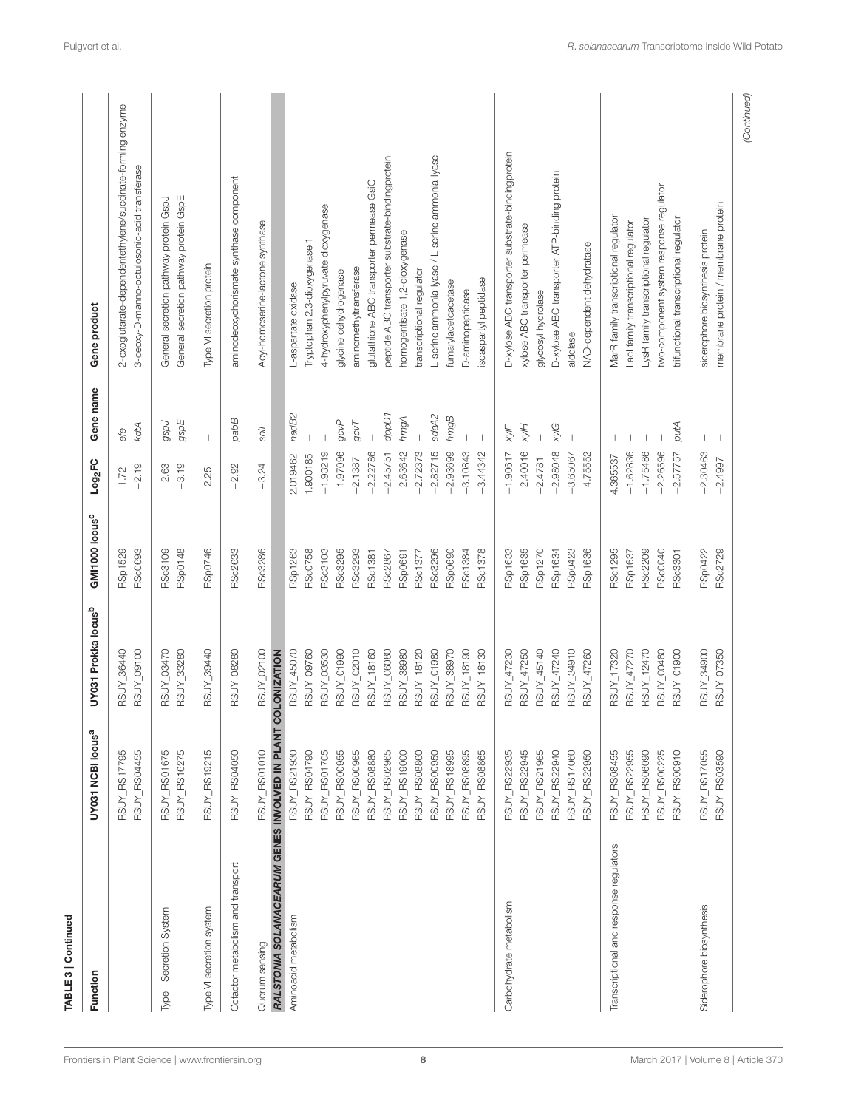| TABLE 3   Continued                              |                               |                                 |                                  |                     |                          |                                                                                                           |
|--------------------------------------------------|-------------------------------|---------------------------------|----------------------------------|---------------------|--------------------------|-----------------------------------------------------------------------------------------------------------|
| Function                                         | UY031 NCBI locus <sup>a</sup> | UY031 Prokka locus <sup>b</sup> | GMI1000 locus <sup>c</sup>       | Log <sub>2</sub> FC | Gene name                | Gene product                                                                                              |
|                                                  | RSUY_RS04455<br>RSUY_RS17795  | RSUY_36440<br>RSUY_09100        | <b>RSp1529</b><br><b>RSc0693</b> | $-2.19$<br>1.72     | kdtA<br>efe              | 2-oxoglutarate-dependentethylene/succinate-forming enzyme<br>3-deoxy-D-manno-octulosonic-acid transferase |
| Type II Secretion System                         | RSUY_RS01675<br>RSUY_RS16275  | <b>RSUY_03470</b><br>RSUY_33280 | <b>RSp0148</b><br><b>RSc3109</b> | $-3.19$<br>$-2.63$  | gspE<br>rdsb             | General secretion pathway protein GspE<br>General secretion pathway protein GspJ                          |
| Type VI secretion system                         | RSUY_RS19215                  | RSUY_39440                      | RSp0746                          | 2.25                | $\mathbf{I}$             | Type VI secretion protein                                                                                 |
| Cofactor metabolism and transport                | RSUY_RS04050                  | <b>RSUY_08280</b>               | <b>RSc2633</b>                   | $-2.92$             | pabB                     | aminodeoxychorismate synthase component I                                                                 |
| Quorum sensing                                   | RSUY_RS01010                  | RSUY_02100                      | RSc3286                          | $-3.24$             | Nos                      | Acyl-homoserine-lactone synthase                                                                          |
| RALSTONIA SOLANACEARUM GENES INVOLVED IN PLANT C |                               | COLONIZATION                    |                                  |                     |                          |                                                                                                           |
| Aminoacid metabolism                             | RSUY_RS21930                  | RSUY_45070                      | <b>RSp1263</b>                   | 2.019462            | nadB2                    | L-aspartate oxidase                                                                                       |
|                                                  | RSUY_RS04790                  | RSUY_09760                      | <b>RSc0758</b>                   | 1.900185            |                          | Typtophan 2,3-dioxygenase 1                                                                               |
|                                                  | RSUY_RS01705                  | RSUY_03530                      | RSc3103                          | $-1.93219$          |                          | 4-hydroxyphenylpyruvate dioxygenase                                                                       |
|                                                  | RSUY_RS00955                  | RSUY_01990                      | RSc3295                          | $-1.97096$          | gcvP                     | glycine dehydrogenase                                                                                     |
|                                                  | RSUY_RS00965                  | RSUY_02010                      | RSc3293                          | $-2.1387$           | 9CVT                     | aminomethyltransferase                                                                                    |
|                                                  | RSUY_RS08880                  | RSUY_18160                      | RSc1381                          | $-2.22786$          |                          | glutathione ABC transporter permease GsiC                                                                 |
|                                                  | RSUY_RS02965                  | RSUY_06080                      | RSc2867                          | $-2.45751$          | dppD1                    | peptide ABC transporter substrate-bindingprotein                                                          |
|                                                  | RSUY_RS19000                  | <b>RSUY_38980</b>               | <b>RSp0691</b>                   | $-2.63642$          | hmgA                     | homogentisate 1,2-dioxygenase                                                                             |
|                                                  | RSUY_RS08860                  | RSUY_18120                      | RSc1377                          | $-2.72373$          |                          | transcriptional regulator                                                                                 |
|                                                  | RSUY_RS00950                  | RSUY_01980                      | RSc3296                          | $-2.82715$          | sdaA2                    | L-serine ammonia-lyase / L-serine ammonia-lyase                                                           |
|                                                  | RSUY_RS18995                  | RSUY_38970                      | <b>RSp0690</b>                   | $-2.93699$          | <b>hmgB</b>              | fumarylacetoacetase                                                                                       |
|                                                  | RSUY_RS08895                  | RSUY_18190                      | RSc1384                          | $-3.10843$          |                          | D-aminopeptidase                                                                                          |
|                                                  | RSUY_RS08865                  | RSUY_18130                      | <b>RSc1378</b>                   | $-3.44342$          | $\overline{1}$           | soaspartyl peptidase                                                                                      |
| Carbohydrate metabolism                          | RSUY_RS22935                  | RSUY_47230                      | <b>RSp1633</b>                   | $-1.90617$          | $x/\sqrt{F}$             | D-xylose ABC transporter substrate-bindingprotein                                                         |
|                                                  | RSUY_RS22945                  | RSUY_47250                      | <b>RSp1635</b>                   | $-2.40016$          | <b>HIVX</b>              | xylose ABC transporter permease                                                                           |
|                                                  | RSUY_RS21965                  | RSUY_45140                      | <b>RSp1270</b>                   | $-2.4781$           |                          | glycosyl hydrolase                                                                                        |
|                                                  | RSUY_RS22940                  | RSUY_47240                      | RSp1634                          | $-2.98048$          | xylG                     | D-xylose ABC transporter ATP-binding protein                                                              |
|                                                  | RSUY_RS17060                  | RSUY_34910                      | <b>RSp0423</b>                   | $-3.65067$          |                          | aldolase                                                                                                  |
|                                                  | RSUY_RS22950                  | RSUY_47260                      | <b>RSp1636</b>                   | $-4.75552$          |                          | NAD-dependent dehydratase                                                                                 |
| Transcriptional and response regulators          | RSUY_RS08455                  | RSUY_17320                      | <b>RSc1295</b>                   | 4.365537            |                          | MarR family transcriptional regulator                                                                     |
|                                                  | RSUY_RS22955                  | RSUY_47270                      | RSp1637                          | $-1.62836$          |                          | Lacl family transcriptional regulator                                                                     |
|                                                  | RSUY_RS06090                  | RSUY_12470                      | RSc2209                          | $-1.75486$          |                          | LysR family transcriptional regulator                                                                     |
|                                                  | RSUY_RS00225                  | RSUY_00480                      | <b>RSc0040</b>                   | $-2.26596$          |                          | two-component system response regulator                                                                   |
|                                                  | RSUY_RS00910                  | <b>OO610<sup>-</sup>ANSE</b>    | <b>RSc3301</b>                   | $-2.57757$          | putA                     | trifunctional transcriptional regulator                                                                   |
| Siderophore biosynthesis                         | RSUY_RS17055                  | RSUY_34900                      | <b>RSp0422</b>                   | $-2.30463$          |                          | siderophore biosynthesis protein                                                                          |
|                                                  | RSUY_RS03590                  | RSUY_07350                      | <b>RSc2729</b>                   | $-2.4997$           | $\overline{\phantom{a}}$ | membrane protein / membrane protein                                                                       |
|                                                  |                               |                                 |                                  |                     |                          | (Continued)                                                                                               |

TABLE 3 | Continued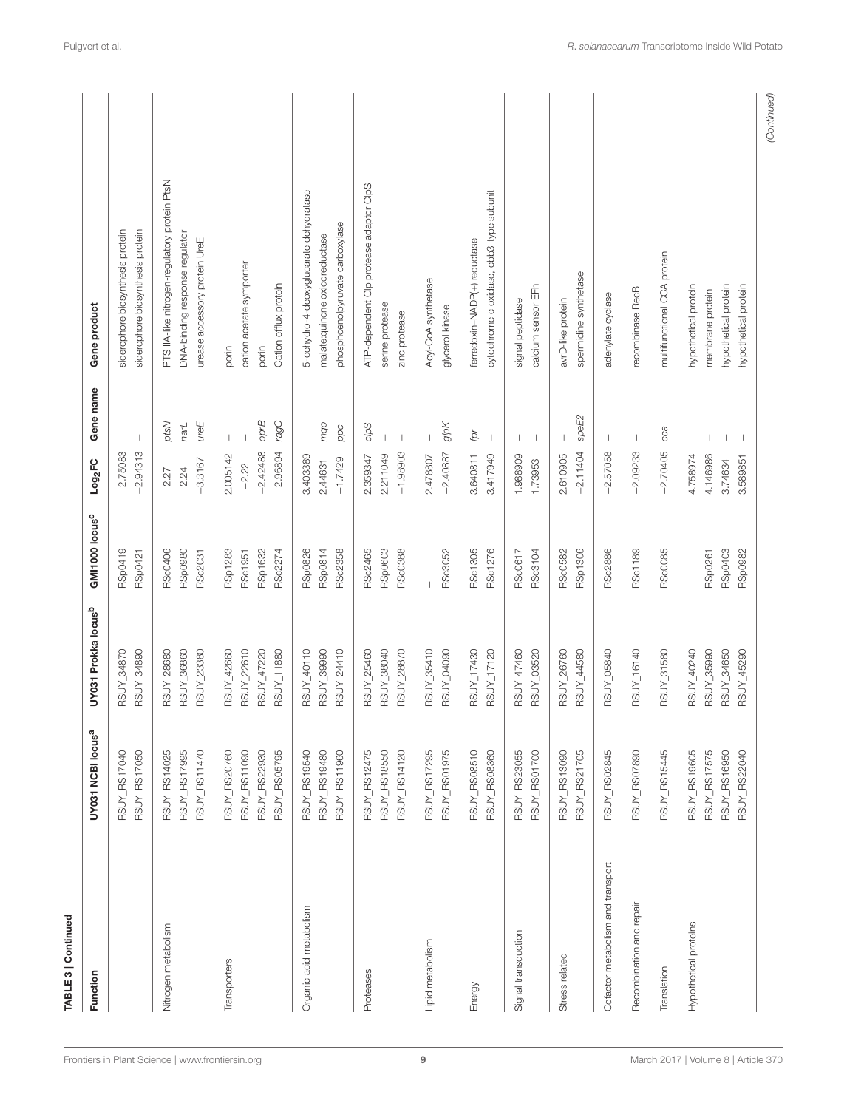| TABLE 3   Continued               |                               |                                 |                            |                     |                          |                                               |
|-----------------------------------|-------------------------------|---------------------------------|----------------------------|---------------------|--------------------------|-----------------------------------------------|
| Function                          | UY031 NCBI locus <sup>a</sup> | UY031 Prokka locus <sup>b</sup> | GMI1000 locus <sup>c</sup> | Log <sub>2</sub> FC | Gene name                | Gene product                                  |
|                                   | RSUY_RS17040                  | RSUY_34870                      | RSp0419                    | $-2.75083$          |                          | siderophore biosynthesis protein              |
|                                   | RSUY_RS17050                  | RSUY_34890                      | RSp0421                    | $-2.94313$          | $\mathbf{I}$             | siderophore biosynthesis protein              |
| Nitrogen metabolism               | RSUY_RS14025                  | RSUY_28680                      | <b>RSc0406</b>             | 2.27                | ptsN                     | PTS IIA-like nitrogen-regulatory protein PtsN |
|                                   | RSUY_RS17995                  | RSUY_36860                      | <b>RSp0980</b>             | 2.24                | narL                     | DNA-binding response regulator                |
|                                   | RSUY_RS11470                  | RSUY_23380                      | <b>RSc2031</b>             | $-3.3167$           | ureE                     | urease accessory protein UreE                 |
| Transporters                      | <b>RSUY_RS20760</b>           | RSUY_42660                      | <b>RSp1283</b>             | 2.005142            |                          | porin                                         |
|                                   | RSUY_RS11090                  | RSUY_22610                      | RSc1951                    | $-2.22$             |                          | cation acetate symporter                      |
|                                   | RSUY_RS22930                  | RSUY_47220                      | <b>RSp1632</b>             | $-2.42488$          | opr <sub>B</sub>         | porin                                         |
|                                   | RSUY_RS05795                  | RSUY_11880                      | RSc2274                    | $-2.96894$          | ragC                     | Cation efflux protein                         |
| Organic acid metabolism           | RSUY_RS19540                  | RSUY_40110                      | <b>RSp0826</b>             | 3.403389            | $\overline{\phantom{a}}$ | 5-dehydro-4-deoxyglucarate dehydratase        |
|                                   | RSUY_RS19480                  | RSUY_39990                      | RSp0814                    | 2.44631             | pou                      | malate:quinone oxidoreductase                 |
|                                   | RSUY_RS11960                  | RSUY_24410                      | <b>RSc2358</b>             | $-1.7429$           | ppc                      | phosphoenolpyruvate carboxylase               |
| Proteases                         | RSUY_RS12475                  | RSUY_25460                      | RSc2465                    | 2.359347            | clpS                     | ATP-dependent Clp protease adaptor ClpS       |
|                                   | RSUY_RS18550                  | RSUY_38040                      | <b>RSp0603</b>             | 2.211049            |                          | serine protease                               |
|                                   | RSUY_RS14120                  | RSUY_28870                      | <b>RSc0388</b>             | $-1.98903$          | $\overline{\phantom{a}}$ | zinc protease                                 |
| Lipid metabolism                  | RSUY_RS17295                  | RSUY_35410                      |                            | 2.478807            |                          | Acyl-CoA synthetase                           |
|                                   | RSUY_RS01975                  | RSUY_04090                      | RSc3052                    | $-2.40887$          | glpK                     | glycerol kinase                               |
| Energy                            | RSUY_RS08510                  | RSUY_17430                      | RSc1305                    | 3.640811            | þ                        | ferredoxin-NADP(+) reductase                  |
|                                   | RSUY_RS08360                  | RSUY_17120                      | RSc1276                    | 3.417949            | $\overline{\phantom{a}}$ | cytochrome c oxidase, cbb3-type subunit I     |
| Signal transduction               | RSUY_RS23055                  | RSUY_47460                      | <b>RSc0617</b>             | 1.988909            |                          | signal peptidase                              |
|                                   | RSUY_RS01700                  | RSUY_03520                      | RSc3104                    | 1.73953             | П                        | calcium sensor EFh                            |
| Stress related                    | RSUY_RS13090                  | RSUY_26760                      | <b>RSc0582</b>             | 2.610905            |                          | avrD-like protein                             |
|                                   | RSUY_RS21705                  | RSUY_44580                      | <b>RSp1306</b>             | $-2.11404$          | speE2                    | spermidine synthetase                         |
| Cofactor metabolism and transport | RSUY_RS02845                  | RSUY_05840                      | RSc2886                    | $-2.57058$          |                          | adenylate cyclase                             |
| Recombination and repair          | RSUY_RS07890                  | RSUY_16140                      | <b>RSc1189</b>             | $-2.09233$          | $\mathbf{I}$             | recombinase RecB                              |
| Translation                       | RSUY_RS15445                  | RSUY_31580                      | <b>RSc0085</b>             | $-2.70405$          | cca                      | multifunctional CCA protein                   |
| Hypothetical proteins             | RSUY_RS19605                  | RSUY_40240                      |                            | 4.758974            |                          | hypothetical protein                          |
|                                   | <b>RSUY_RS17575</b>           | RSUY_35990                      | <b>RSp0261</b>             | 4.146986            |                          | membrane protein                              |
|                                   | RSUY_RS16950                  | RSUY_34650                      | <b>RSp0403</b>             | 3.74634             |                          | hypothetical protein                          |
|                                   | RSUY_RS22040                  | RSUY_45290                      | <b>RSp0982</b>             | 3.589851            |                          | hypothetical protein                          |
|                                   |                               |                                 |                            |                     |                          | (Continued)                                   |

9 [March 2017 | Volume 8 | Article 370](http://www.frontiersin.org/Plant_Science/archive)

[Frontiers in Plant Science](http://www.frontiersin.org/Plant_Science)| [www.frontiersin.org](http://www.frontiersin.org)

TABLE 3 | Continued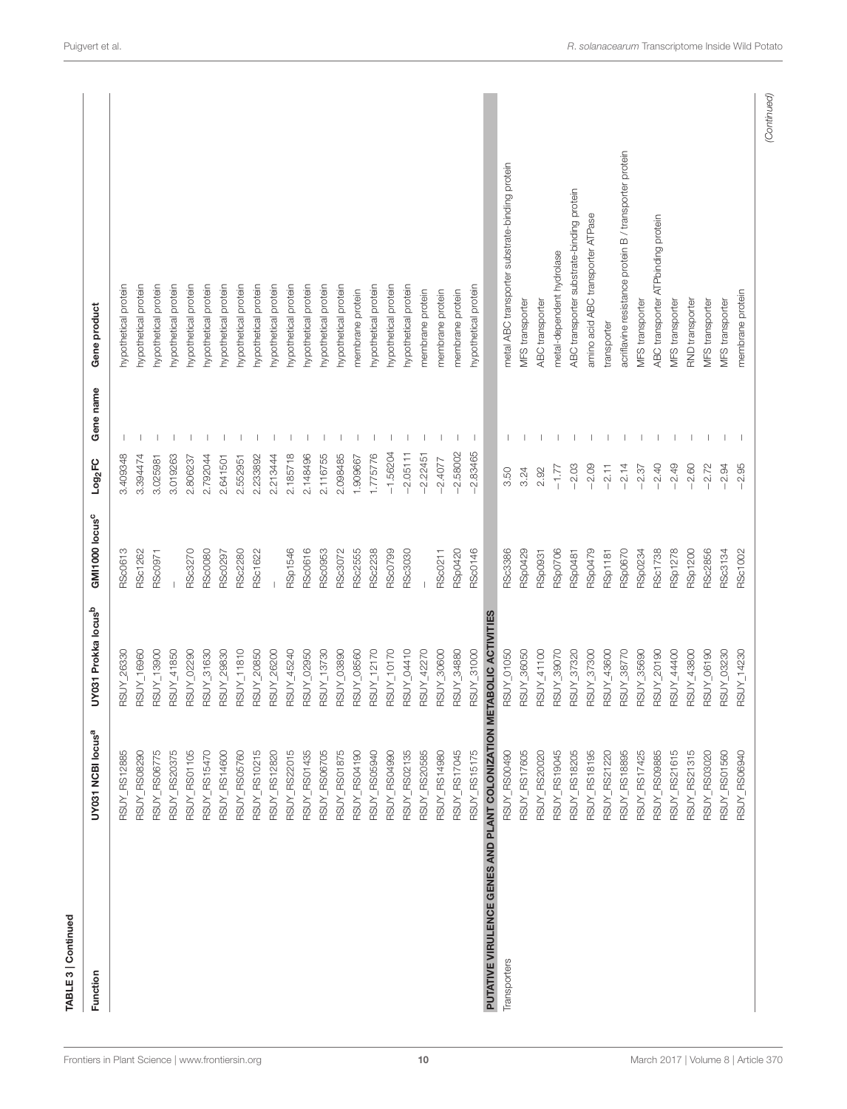| acriflavine resistance protein B / transporter protein<br>metal ABC transporter substrate-binding protein<br>ABC transporter substrate-binding protein<br>amino acid ABC transporter ATPase<br>ABC transporter ATPbinding protein<br>metal-dependent hydrolase<br>hypothetical protein<br>hypothetical protein<br>nypothetical protein<br>nypothetical protein<br>hypothetical protein<br>hypothetical protein<br>hypothetical protein<br>nypothetical protein<br>hypothetical protein<br>hypothetical protein<br>nypothetical protein<br>nypothetical protein<br>hypothetical protein<br>hypothetical protein<br>hypothetical protein<br>hypothetical protein<br>hypothetical protein<br>hypothetical protein<br>membrane protein<br>membrane protein<br>membrane protein<br>membrane protein<br>membrane protein<br>MFS transporter<br>RND transporter<br>MFS transporter<br>MFS transporter<br><b>ABC</b> transporter<br>MFS transporter<br>MFS transporter<br>Gene product<br>transporter<br>Gene name<br>$-2.58002$<br>$-2.83465$<br>$-1.56204$<br>$-2.05111$<br>$-2.22451$<br>3.409348<br>3.394474<br>2.185718<br>2.148496<br>2.116755<br>2.098485<br>1.775776<br>3.019263<br>2.792044<br>2.233892<br>2.213444<br>1.909667<br>3.025981<br>2.641501<br>2.552951<br>2.806237<br>$-2.4077$<br>Log <sub>2</sub> FC<br>$-2.14$<br>$-2.40$<br>$-2.49$<br>$-2.60$<br>$-2.95$<br>$-2.03$<br>$-2.09$<br>$-2.11$<br>$-2.72$<br>2.94<br>$-2.37$<br>$-1.77$<br>3.24<br>2.92<br>3.50<br>GMI1000 locus <sup>c</sup><br>RSp1546<br><b>RSp0670</b><br><b>RSp1278</b><br><b>RSc0613</b><br><b>RSc3270</b><br>RSc0616<br><b>RSc0953</b><br>RSc3072<br>RSc2555<br>RSc2238<br>RSc0799<br>RSc3030<br>RSp0420<br>RSc0146<br>RSc3386<br>RSp0429<br><b>RSp0706</b><br><b>RSp0479</b><br>RSp0234<br><b>RSc1738</b><br><b>RSp1200</b><br>RSc2856<br>RSc1262<br><b>RSc0080</b><br><b>RSc2280</b><br>RSc1622<br>RSp0931<br><b>RSp1181</b><br>RSc3134<br><b>RSc1002</b><br>RSc0211<br>RSp0481<br>RSc0971<br>RSc0297<br>UY031 Prokka locus <sup>b</sup><br>ETABOLIC ACTIVITIES<br>RSUY_31630<br>RSUY_11810<br>RSUY_20850<br>RSUY_26200<br>RSUY_45240<br><b>RSUY_03890</b><br>RSUY_08560<br>RSUY_12170<br>RSUY_10170<br>RSUY_04410<br>RSUY_42270<br>RSUY_31000<br>RSUY_36050<br>RSUY_41100<br>RSUY_39070<br>RSUY_38770<br>RSUY_35690<br>RSUY_20190<br>RSUY_44400<br>RSUY_43800<br>RSUY_06190<br>RSUY_16960<br>RSUY_13900<br>RSUY_41850<br>RSUY_02290<br>RSUY_29830<br>RSUY_02950<br>RSUY_13730<br>RSUY_30600<br>RSUY_34880<br>RSUY_01050<br>RSUY_37320<br>RSUY_37300<br>RSUY_43600<br>RSUY_03230<br>RSUY_14230<br><b>RSUY 26330</b><br>PUTATIVE VIRULENCE GENES AND PLANT COLONIZATION M<br>UY031 NCBI locus <sup>a</sup><br>RSUY_RS15175<br>RSUY_RS01875<br>RSUY_RS02135<br>RSUY_RS17045<br>RSUY_RS21615<br>RSUY_RS08290<br>RSUY_RS06775<br>RSUY_RS20375<br>RSUY_RS01105<br>RSUY_RS15470<br>RSUY_RS10215<br>RSUY_RS12820<br>RSUY_RS22015<br>RSUY_RS01435<br>RSUY_RS06705<br>RSUY_RS04190<br>RSUY_RS05940<br>RSUY_RS04990<br>RSUY_RS20585<br>RSUY_RS17605<br>RSUY_RS20020<br>RSUY_RS19045<br>RSUY_RS18205<br>RSUY_RS18195<br>RSUY_RS21220<br>RSUY_RS18895<br>RSUY_RS17425<br>RSUY_RS21315<br>RSUY_RS03020<br>RSUY_RS01560<br>RSUY_RS06940<br>RSUY_RS12885<br>RSUY_RS14600<br>RSUY_RS05760<br>RSUY_RS14980<br>RSUY_RS00490<br>RSUY_RS09885<br>Transporters<br>Function |  |  |  |  |
|----------------------------------------------------------------------------------------------------------------------------------------------------------------------------------------------------------------------------------------------------------------------------------------------------------------------------------------------------------------------------------------------------------------------------------------------------------------------------------------------------------------------------------------------------------------------------------------------------------------------------------------------------------------------------------------------------------------------------------------------------------------------------------------------------------------------------------------------------------------------------------------------------------------------------------------------------------------------------------------------------------------------------------------------------------------------------------------------------------------------------------------------------------------------------------------------------------------------------------------------------------------------------------------------------------------------------------------------------------------------------------------------------------------------------------------------------------------------------------------------------------------------------------------------------------------------------------------------------------------------------------------------------------------------------------------------------------------------------------------------------------------------------------------------------------------------------------------------------------------------------------------------------------------------------------------------------------------------------------------------------------------------------------------------------------------------------------------------------------------------------------------------------------------------------------------------------------------------------------------------------------------------------------------------------------------------------------------------------------------------------------------------------------------------------------------------------------------------------------------------------------------------------------------------------------------------------------------------------------------------------------------------------------------------------------------------------------------------------------------------------------------------------------------------------------------------------------------------------------------------------------------------------------------------------------------------------------------------------------------------------------------------------------------------------------------------------------------------------------------------------------------------------------------------------------------------------------------------------------------------------------------------------------------------------------------------------------------------|--|--|--|--|
|                                                                                                                                                                                                                                                                                                                                                                                                                                                                                                                                                                                                                                                                                                                                                                                                                                                                                                                                                                                                                                                                                                                                                                                                                                                                                                                                                                                                                                                                                                                                                                                                                                                                                                                                                                                                                                                                                                                                                                                                                                                                                                                                                                                                                                                                                                                                                                                                                                                                                                                                                                                                                                                                                                                                                                                                                                                                                                                                                                                                                                                                                                                                                                                                                                                                                                                                              |  |  |  |  |
|                                                                                                                                                                                                                                                                                                                                                                                                                                                                                                                                                                                                                                                                                                                                                                                                                                                                                                                                                                                                                                                                                                                                                                                                                                                                                                                                                                                                                                                                                                                                                                                                                                                                                                                                                                                                                                                                                                                                                                                                                                                                                                                                                                                                                                                                                                                                                                                                                                                                                                                                                                                                                                                                                                                                                                                                                                                                                                                                                                                                                                                                                                                                                                                                                                                                                                                                              |  |  |  |  |
|                                                                                                                                                                                                                                                                                                                                                                                                                                                                                                                                                                                                                                                                                                                                                                                                                                                                                                                                                                                                                                                                                                                                                                                                                                                                                                                                                                                                                                                                                                                                                                                                                                                                                                                                                                                                                                                                                                                                                                                                                                                                                                                                                                                                                                                                                                                                                                                                                                                                                                                                                                                                                                                                                                                                                                                                                                                                                                                                                                                                                                                                                                                                                                                                                                                                                                                                              |  |  |  |  |
|                                                                                                                                                                                                                                                                                                                                                                                                                                                                                                                                                                                                                                                                                                                                                                                                                                                                                                                                                                                                                                                                                                                                                                                                                                                                                                                                                                                                                                                                                                                                                                                                                                                                                                                                                                                                                                                                                                                                                                                                                                                                                                                                                                                                                                                                                                                                                                                                                                                                                                                                                                                                                                                                                                                                                                                                                                                                                                                                                                                                                                                                                                                                                                                                                                                                                                                                              |  |  |  |  |
|                                                                                                                                                                                                                                                                                                                                                                                                                                                                                                                                                                                                                                                                                                                                                                                                                                                                                                                                                                                                                                                                                                                                                                                                                                                                                                                                                                                                                                                                                                                                                                                                                                                                                                                                                                                                                                                                                                                                                                                                                                                                                                                                                                                                                                                                                                                                                                                                                                                                                                                                                                                                                                                                                                                                                                                                                                                                                                                                                                                                                                                                                                                                                                                                                                                                                                                                              |  |  |  |  |
|                                                                                                                                                                                                                                                                                                                                                                                                                                                                                                                                                                                                                                                                                                                                                                                                                                                                                                                                                                                                                                                                                                                                                                                                                                                                                                                                                                                                                                                                                                                                                                                                                                                                                                                                                                                                                                                                                                                                                                                                                                                                                                                                                                                                                                                                                                                                                                                                                                                                                                                                                                                                                                                                                                                                                                                                                                                                                                                                                                                                                                                                                                                                                                                                                                                                                                                                              |  |  |  |  |
|                                                                                                                                                                                                                                                                                                                                                                                                                                                                                                                                                                                                                                                                                                                                                                                                                                                                                                                                                                                                                                                                                                                                                                                                                                                                                                                                                                                                                                                                                                                                                                                                                                                                                                                                                                                                                                                                                                                                                                                                                                                                                                                                                                                                                                                                                                                                                                                                                                                                                                                                                                                                                                                                                                                                                                                                                                                                                                                                                                                                                                                                                                                                                                                                                                                                                                                                              |  |  |  |  |
|                                                                                                                                                                                                                                                                                                                                                                                                                                                                                                                                                                                                                                                                                                                                                                                                                                                                                                                                                                                                                                                                                                                                                                                                                                                                                                                                                                                                                                                                                                                                                                                                                                                                                                                                                                                                                                                                                                                                                                                                                                                                                                                                                                                                                                                                                                                                                                                                                                                                                                                                                                                                                                                                                                                                                                                                                                                                                                                                                                                                                                                                                                                                                                                                                                                                                                                                              |  |  |  |  |
|                                                                                                                                                                                                                                                                                                                                                                                                                                                                                                                                                                                                                                                                                                                                                                                                                                                                                                                                                                                                                                                                                                                                                                                                                                                                                                                                                                                                                                                                                                                                                                                                                                                                                                                                                                                                                                                                                                                                                                                                                                                                                                                                                                                                                                                                                                                                                                                                                                                                                                                                                                                                                                                                                                                                                                                                                                                                                                                                                                                                                                                                                                                                                                                                                                                                                                                                              |  |  |  |  |
|                                                                                                                                                                                                                                                                                                                                                                                                                                                                                                                                                                                                                                                                                                                                                                                                                                                                                                                                                                                                                                                                                                                                                                                                                                                                                                                                                                                                                                                                                                                                                                                                                                                                                                                                                                                                                                                                                                                                                                                                                                                                                                                                                                                                                                                                                                                                                                                                                                                                                                                                                                                                                                                                                                                                                                                                                                                                                                                                                                                                                                                                                                                                                                                                                                                                                                                                              |  |  |  |  |
|                                                                                                                                                                                                                                                                                                                                                                                                                                                                                                                                                                                                                                                                                                                                                                                                                                                                                                                                                                                                                                                                                                                                                                                                                                                                                                                                                                                                                                                                                                                                                                                                                                                                                                                                                                                                                                                                                                                                                                                                                                                                                                                                                                                                                                                                                                                                                                                                                                                                                                                                                                                                                                                                                                                                                                                                                                                                                                                                                                                                                                                                                                                                                                                                                                                                                                                                              |  |  |  |  |
|                                                                                                                                                                                                                                                                                                                                                                                                                                                                                                                                                                                                                                                                                                                                                                                                                                                                                                                                                                                                                                                                                                                                                                                                                                                                                                                                                                                                                                                                                                                                                                                                                                                                                                                                                                                                                                                                                                                                                                                                                                                                                                                                                                                                                                                                                                                                                                                                                                                                                                                                                                                                                                                                                                                                                                                                                                                                                                                                                                                                                                                                                                                                                                                                                                                                                                                                              |  |  |  |  |
|                                                                                                                                                                                                                                                                                                                                                                                                                                                                                                                                                                                                                                                                                                                                                                                                                                                                                                                                                                                                                                                                                                                                                                                                                                                                                                                                                                                                                                                                                                                                                                                                                                                                                                                                                                                                                                                                                                                                                                                                                                                                                                                                                                                                                                                                                                                                                                                                                                                                                                                                                                                                                                                                                                                                                                                                                                                                                                                                                                                                                                                                                                                                                                                                                                                                                                                                              |  |  |  |  |
|                                                                                                                                                                                                                                                                                                                                                                                                                                                                                                                                                                                                                                                                                                                                                                                                                                                                                                                                                                                                                                                                                                                                                                                                                                                                                                                                                                                                                                                                                                                                                                                                                                                                                                                                                                                                                                                                                                                                                                                                                                                                                                                                                                                                                                                                                                                                                                                                                                                                                                                                                                                                                                                                                                                                                                                                                                                                                                                                                                                                                                                                                                                                                                                                                                                                                                                                              |  |  |  |  |
|                                                                                                                                                                                                                                                                                                                                                                                                                                                                                                                                                                                                                                                                                                                                                                                                                                                                                                                                                                                                                                                                                                                                                                                                                                                                                                                                                                                                                                                                                                                                                                                                                                                                                                                                                                                                                                                                                                                                                                                                                                                                                                                                                                                                                                                                                                                                                                                                                                                                                                                                                                                                                                                                                                                                                                                                                                                                                                                                                                                                                                                                                                                                                                                                                                                                                                                                              |  |  |  |  |
|                                                                                                                                                                                                                                                                                                                                                                                                                                                                                                                                                                                                                                                                                                                                                                                                                                                                                                                                                                                                                                                                                                                                                                                                                                                                                                                                                                                                                                                                                                                                                                                                                                                                                                                                                                                                                                                                                                                                                                                                                                                                                                                                                                                                                                                                                                                                                                                                                                                                                                                                                                                                                                                                                                                                                                                                                                                                                                                                                                                                                                                                                                                                                                                                                                                                                                                                              |  |  |  |  |
|                                                                                                                                                                                                                                                                                                                                                                                                                                                                                                                                                                                                                                                                                                                                                                                                                                                                                                                                                                                                                                                                                                                                                                                                                                                                                                                                                                                                                                                                                                                                                                                                                                                                                                                                                                                                                                                                                                                                                                                                                                                                                                                                                                                                                                                                                                                                                                                                                                                                                                                                                                                                                                                                                                                                                                                                                                                                                                                                                                                                                                                                                                                                                                                                                                                                                                                                              |  |  |  |  |
|                                                                                                                                                                                                                                                                                                                                                                                                                                                                                                                                                                                                                                                                                                                                                                                                                                                                                                                                                                                                                                                                                                                                                                                                                                                                                                                                                                                                                                                                                                                                                                                                                                                                                                                                                                                                                                                                                                                                                                                                                                                                                                                                                                                                                                                                                                                                                                                                                                                                                                                                                                                                                                                                                                                                                                                                                                                                                                                                                                                                                                                                                                                                                                                                                                                                                                                                              |  |  |  |  |
|                                                                                                                                                                                                                                                                                                                                                                                                                                                                                                                                                                                                                                                                                                                                                                                                                                                                                                                                                                                                                                                                                                                                                                                                                                                                                                                                                                                                                                                                                                                                                                                                                                                                                                                                                                                                                                                                                                                                                                                                                                                                                                                                                                                                                                                                                                                                                                                                                                                                                                                                                                                                                                                                                                                                                                                                                                                                                                                                                                                                                                                                                                                                                                                                                                                                                                                                              |  |  |  |  |
|                                                                                                                                                                                                                                                                                                                                                                                                                                                                                                                                                                                                                                                                                                                                                                                                                                                                                                                                                                                                                                                                                                                                                                                                                                                                                                                                                                                                                                                                                                                                                                                                                                                                                                                                                                                                                                                                                                                                                                                                                                                                                                                                                                                                                                                                                                                                                                                                                                                                                                                                                                                                                                                                                                                                                                                                                                                                                                                                                                                                                                                                                                                                                                                                                                                                                                                                              |  |  |  |  |
|                                                                                                                                                                                                                                                                                                                                                                                                                                                                                                                                                                                                                                                                                                                                                                                                                                                                                                                                                                                                                                                                                                                                                                                                                                                                                                                                                                                                                                                                                                                                                                                                                                                                                                                                                                                                                                                                                                                                                                                                                                                                                                                                                                                                                                                                                                                                                                                                                                                                                                                                                                                                                                                                                                                                                                                                                                                                                                                                                                                                                                                                                                                                                                                                                                                                                                                                              |  |  |  |  |
|                                                                                                                                                                                                                                                                                                                                                                                                                                                                                                                                                                                                                                                                                                                                                                                                                                                                                                                                                                                                                                                                                                                                                                                                                                                                                                                                                                                                                                                                                                                                                                                                                                                                                                                                                                                                                                                                                                                                                                                                                                                                                                                                                                                                                                                                                                                                                                                                                                                                                                                                                                                                                                                                                                                                                                                                                                                                                                                                                                                                                                                                                                                                                                                                                                                                                                                                              |  |  |  |  |
|                                                                                                                                                                                                                                                                                                                                                                                                                                                                                                                                                                                                                                                                                                                                                                                                                                                                                                                                                                                                                                                                                                                                                                                                                                                                                                                                                                                                                                                                                                                                                                                                                                                                                                                                                                                                                                                                                                                                                                                                                                                                                                                                                                                                                                                                                                                                                                                                                                                                                                                                                                                                                                                                                                                                                                                                                                                                                                                                                                                                                                                                                                                                                                                                                                                                                                                                              |  |  |  |  |
|                                                                                                                                                                                                                                                                                                                                                                                                                                                                                                                                                                                                                                                                                                                                                                                                                                                                                                                                                                                                                                                                                                                                                                                                                                                                                                                                                                                                                                                                                                                                                                                                                                                                                                                                                                                                                                                                                                                                                                                                                                                                                                                                                                                                                                                                                                                                                                                                                                                                                                                                                                                                                                                                                                                                                                                                                                                                                                                                                                                                                                                                                                                                                                                                                                                                                                                                              |  |  |  |  |
|                                                                                                                                                                                                                                                                                                                                                                                                                                                                                                                                                                                                                                                                                                                                                                                                                                                                                                                                                                                                                                                                                                                                                                                                                                                                                                                                                                                                                                                                                                                                                                                                                                                                                                                                                                                                                                                                                                                                                                                                                                                                                                                                                                                                                                                                                                                                                                                                                                                                                                                                                                                                                                                                                                                                                                                                                                                                                                                                                                                                                                                                                                                                                                                                                                                                                                                                              |  |  |  |  |
|                                                                                                                                                                                                                                                                                                                                                                                                                                                                                                                                                                                                                                                                                                                                                                                                                                                                                                                                                                                                                                                                                                                                                                                                                                                                                                                                                                                                                                                                                                                                                                                                                                                                                                                                                                                                                                                                                                                                                                                                                                                                                                                                                                                                                                                                                                                                                                                                                                                                                                                                                                                                                                                                                                                                                                                                                                                                                                                                                                                                                                                                                                                                                                                                                                                                                                                                              |  |  |  |  |
|                                                                                                                                                                                                                                                                                                                                                                                                                                                                                                                                                                                                                                                                                                                                                                                                                                                                                                                                                                                                                                                                                                                                                                                                                                                                                                                                                                                                                                                                                                                                                                                                                                                                                                                                                                                                                                                                                                                                                                                                                                                                                                                                                                                                                                                                                                                                                                                                                                                                                                                                                                                                                                                                                                                                                                                                                                                                                                                                                                                                                                                                                                                                                                                                                                                                                                                                              |  |  |  |  |
|                                                                                                                                                                                                                                                                                                                                                                                                                                                                                                                                                                                                                                                                                                                                                                                                                                                                                                                                                                                                                                                                                                                                                                                                                                                                                                                                                                                                                                                                                                                                                                                                                                                                                                                                                                                                                                                                                                                                                                                                                                                                                                                                                                                                                                                                                                                                                                                                                                                                                                                                                                                                                                                                                                                                                                                                                                                                                                                                                                                                                                                                                                                                                                                                                                                                                                                                              |  |  |  |  |
|                                                                                                                                                                                                                                                                                                                                                                                                                                                                                                                                                                                                                                                                                                                                                                                                                                                                                                                                                                                                                                                                                                                                                                                                                                                                                                                                                                                                                                                                                                                                                                                                                                                                                                                                                                                                                                                                                                                                                                                                                                                                                                                                                                                                                                                                                                                                                                                                                                                                                                                                                                                                                                                                                                                                                                                                                                                                                                                                                                                                                                                                                                                                                                                                                                                                                                                                              |  |  |  |  |
|                                                                                                                                                                                                                                                                                                                                                                                                                                                                                                                                                                                                                                                                                                                                                                                                                                                                                                                                                                                                                                                                                                                                                                                                                                                                                                                                                                                                                                                                                                                                                                                                                                                                                                                                                                                                                                                                                                                                                                                                                                                                                                                                                                                                                                                                                                                                                                                                                                                                                                                                                                                                                                                                                                                                                                                                                                                                                                                                                                                                                                                                                                                                                                                                                                                                                                                                              |  |  |  |  |
|                                                                                                                                                                                                                                                                                                                                                                                                                                                                                                                                                                                                                                                                                                                                                                                                                                                                                                                                                                                                                                                                                                                                                                                                                                                                                                                                                                                                                                                                                                                                                                                                                                                                                                                                                                                                                                                                                                                                                                                                                                                                                                                                                                                                                                                                                                                                                                                                                                                                                                                                                                                                                                                                                                                                                                                                                                                                                                                                                                                                                                                                                                                                                                                                                                                                                                                                              |  |  |  |  |
|                                                                                                                                                                                                                                                                                                                                                                                                                                                                                                                                                                                                                                                                                                                                                                                                                                                                                                                                                                                                                                                                                                                                                                                                                                                                                                                                                                                                                                                                                                                                                                                                                                                                                                                                                                                                                                                                                                                                                                                                                                                                                                                                                                                                                                                                                                                                                                                                                                                                                                                                                                                                                                                                                                                                                                                                                                                                                                                                                                                                                                                                                                                                                                                                                                                                                                                                              |  |  |  |  |
|                                                                                                                                                                                                                                                                                                                                                                                                                                                                                                                                                                                                                                                                                                                                                                                                                                                                                                                                                                                                                                                                                                                                                                                                                                                                                                                                                                                                                                                                                                                                                                                                                                                                                                                                                                                                                                                                                                                                                                                                                                                                                                                                                                                                                                                                                                                                                                                                                                                                                                                                                                                                                                                                                                                                                                                                                                                                                                                                                                                                                                                                                                                                                                                                                                                                                                                                              |  |  |  |  |
|                                                                                                                                                                                                                                                                                                                                                                                                                                                                                                                                                                                                                                                                                                                                                                                                                                                                                                                                                                                                                                                                                                                                                                                                                                                                                                                                                                                                                                                                                                                                                                                                                                                                                                                                                                                                                                                                                                                                                                                                                                                                                                                                                                                                                                                                                                                                                                                                                                                                                                                                                                                                                                                                                                                                                                                                                                                                                                                                                                                                                                                                                                                                                                                                                                                                                                                                              |  |  |  |  |
|                                                                                                                                                                                                                                                                                                                                                                                                                                                                                                                                                                                                                                                                                                                                                                                                                                                                                                                                                                                                                                                                                                                                                                                                                                                                                                                                                                                                                                                                                                                                                                                                                                                                                                                                                                                                                                                                                                                                                                                                                                                                                                                                                                                                                                                                                                                                                                                                                                                                                                                                                                                                                                                                                                                                                                                                                                                                                                                                                                                                                                                                                                                                                                                                                                                                                                                                              |  |  |  |  |
|                                                                                                                                                                                                                                                                                                                                                                                                                                                                                                                                                                                                                                                                                                                                                                                                                                                                                                                                                                                                                                                                                                                                                                                                                                                                                                                                                                                                                                                                                                                                                                                                                                                                                                                                                                                                                                                                                                                                                                                                                                                                                                                                                                                                                                                                                                                                                                                                                                                                                                                                                                                                                                                                                                                                                                                                                                                                                                                                                                                                                                                                                                                                                                                                                                                                                                                                              |  |  |  |  |
|                                                                                                                                                                                                                                                                                                                                                                                                                                                                                                                                                                                                                                                                                                                                                                                                                                                                                                                                                                                                                                                                                                                                                                                                                                                                                                                                                                                                                                                                                                                                                                                                                                                                                                                                                                                                                                                                                                                                                                                                                                                                                                                                                                                                                                                                                                                                                                                                                                                                                                                                                                                                                                                                                                                                                                                                                                                                                                                                                                                                                                                                                                                                                                                                                                                                                                                                              |  |  |  |  |
|                                                                                                                                                                                                                                                                                                                                                                                                                                                                                                                                                                                                                                                                                                                                                                                                                                                                                                                                                                                                                                                                                                                                                                                                                                                                                                                                                                                                                                                                                                                                                                                                                                                                                                                                                                                                                                                                                                                                                                                                                                                                                                                                                                                                                                                                                                                                                                                                                                                                                                                                                                                                                                                                                                                                                                                                                                                                                                                                                                                                                                                                                                                                                                                                                                                                                                                                              |  |  |  |  |
|                                                                                                                                                                                                                                                                                                                                                                                                                                                                                                                                                                                                                                                                                                                                                                                                                                                                                                                                                                                                                                                                                                                                                                                                                                                                                                                                                                                                                                                                                                                                                                                                                                                                                                                                                                                                                                                                                                                                                                                                                                                                                                                                                                                                                                                                                                                                                                                                                                                                                                                                                                                                                                                                                                                                                                                                                                                                                                                                                                                                                                                                                                                                                                                                                                                                                                                                              |  |  |  |  |

TABLE 3 | Continued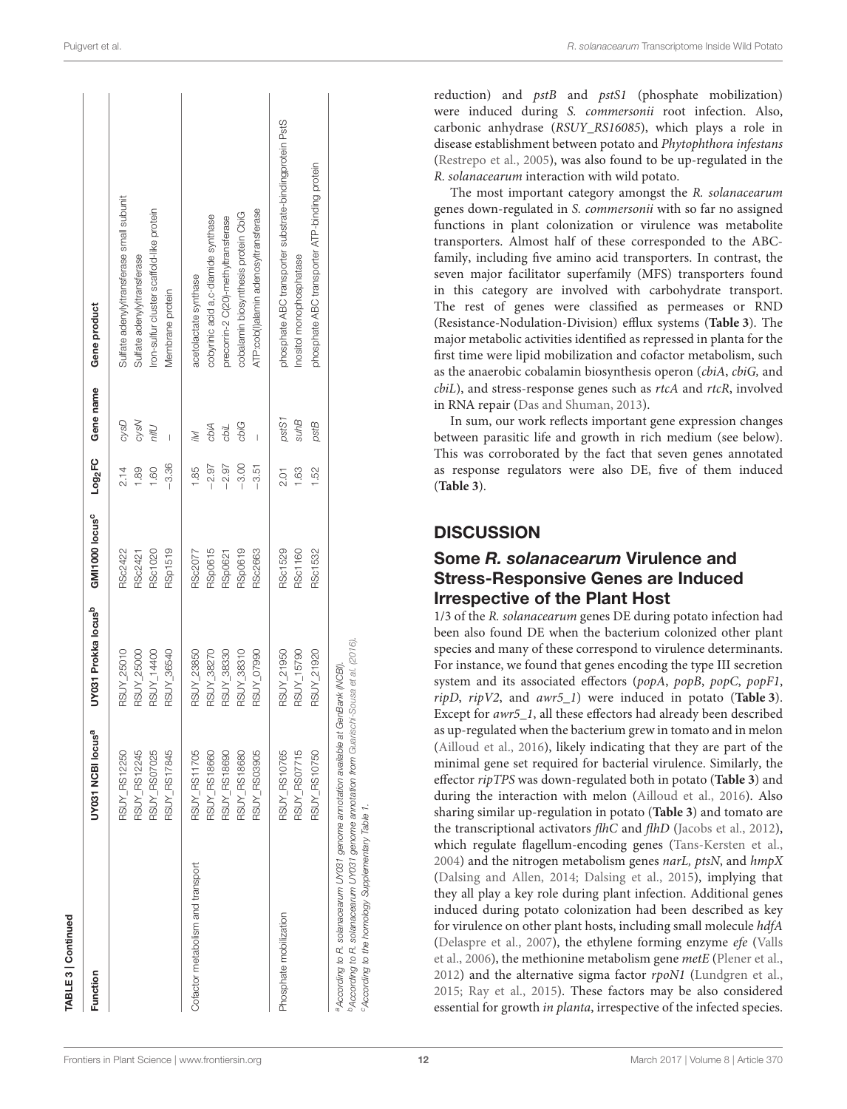| Function                          | UY031 NCBI locus <sup>a</sup> | UY031 Prokka locus <sup>b</sup> | GMI1000 locus <sup>c</sup> | Log <sub>2</sub> FC | Gene name         | Gene product                                            |
|-----------------------------------|-------------------------------|---------------------------------|----------------------------|---------------------|-------------------|---------------------------------------------------------|
|                                   | RSUY_RS12250                  | RSUY_25010                      | RSc2422                    | 2.14                | cysD              | Sulfate adenylyltransferase small subunit               |
|                                   | RSUY_RS12245                  | RSUY_25000                      | RSc2421                    | 1.89                | cysN              | Sulfate adenylyltransferase                             |
|                                   | RSUY_RS07025                  | RSUY_14400                      | <b>RSc1020</b>             | 1.60                | Uiri              | Iron-sulfur cluster scaffold-like protein               |
|                                   | RSUY_RS17845                  | RSUY_36540                      | <b>RSp1519</b>             | $-3.36$             |                   | Membrane protein                                        |
| Cofactor metabolism and transport | <b>RSUY_RS11705</b>           | RSUY_23850                      | RSc2077                    | 1.85                | $\overline{\vee}$ | acetolactate synthase                                   |
|                                   | RSUY_RS18660                  | RSUY_38270                      | <b>RSp0615</b>             | $-2.97$             | cbiA              | cobyrinic acid a,c-diamide synthase                     |
|                                   | <b>RSUY_RS18690</b>           | RSUY_38330                      | RSp0621                    | $-2.97$             | cbiL              | precorrin-2 C(20)-methyltransferase                     |
|                                   | RSUY_RS18680                  | RSUY_38310                      | <b>RSp0619</b>             | $-3.00$             | cbiG              | cobalamin biosynthesis protein CbiG                     |
|                                   | RSUY_RS03905                  | RSUY_07990                      | RSc2663                    | $-3.51$             |                   | ATP:cob(l)alamin adenosyltransferase                    |
| Phosphate mobilization            | <b>RSUY_RS10765</b>           | RSUY_21950                      | RSc1529                    | 2.01                | pstS1             | phosphate ABC transporter substrate-bindingprotein PstS |
|                                   | RSUY_RS07715                  | RSUY_15790                      | <b>RSc1160</b>             | 1.63                | <b>SuhB</b>       | Inositol monophosphatase                                |
|                                   | RSUY_RS10750                  | RSUY_21920                      | RSc1532                    | 1.52                | pstB              | phosphate ABC transporter ATP-binding protein           |

reduction) and  $pstB$  and  $pstS1$  (phosphate mobilization) were induced during S. commersonii root infection. Also, carbonic anhydrase (RSUY\_RS16085), which plays a role in disease establishment between potato and Phytophthora infestans [\(Restrepo et al., 2005\)](#page-16-17), was also found to be up-regulated in the R. solanacearum interaction with wild potato.

The most important category amongst the R. solanacearum genes down-regulated in S. commersonii with so far no assigned functions in plant colonization or virulence was metabolite transporters. Almost half of these corresponded to the ABCfamily, including five amino acid transporters. In contrast, the seven major facilitator superfamily (MFS) transporters found in this category are involved with carbohydrate transport. The rest of genes were classified as permeases or RND (Resistance-Nodulation-Division) efflux systems (**[Table 3](#page-6-0)**). The major metabolic activities identified as repressed in planta for the first time were lipid mobilization and cofactor metabolism, such as the anaerobic cobalamin biosynthesis operon (cbiA, cbiG, and cbiL), and stress-response genes such as rtcA and rtcR, involved in RNA repair [\(Das and Shuman, 2013\)](#page-15-23).

In sum, our work reflects important gene expression changes between parasitic life and growth in rich medium (see below). This was corroborated by the fact that seven genes annotated as response regulators were also DE, five of them induced (**[Table 3](#page-6-0)**).

#### **DISCUSSION**

#### Some *R. solanacearum* Virulence and Stress-Responsive Genes are Induced Irrespective of the Plant Host

1/3 of the R. solanacearum genes DE during potato infection had been also found DE when the bacterium colonized other plant species and many of these correspond to virulence determinants. For instance, we found that genes encoding the type III secretion system and its associated effectors (popA, popB, popC, popF1, ripD, ripV2, and awr5\_1) were induced in potato (**[Table 3](#page-6-0)**). Except for awr5\_1, all these effectors had already been described as up-regulated when the bacterium grew in tomato and in melon [\(Ailloud et al., 2016\)](#page-14-3), likely indicating that they are part of the minimal gene set required for bacterial virulence. Similarly, the effector ripTPS was down-regulated both in potato (**[Table 3](#page-6-0)**) and during the interaction with melon [\(Ailloud et al., 2016\)](#page-14-3). Also sharing similar up-regulation in potato (**[Table 3](#page-6-0)**) and tomato are the transcriptional activators flhC and flhD [\(Jacobs et al., 2012\)](#page-15-5), which regulate flagellum-encoding genes [\(Tans-Kersten et al.,](#page-16-12)  $2004$ ) and the nitrogen metabolism genes narL, ptsN, and  $hmpX$ [\(Dalsing and Allen, 2014;](#page-15-18) [Dalsing et al., 2015\)](#page-15-20), implying that they all play a key role during plant infection. Additional genes induced during potato colonization had been described as key for virulence on other plant hosts, including small molecule hdfA [\(Delaspre et al., 2007\)](#page-15-15), the ethylene forming enzyme efe (Valls et al., [2006\)](#page-16-6), the methionine metabolism gene metE [\(Plener et al.,](#page-16-13) [2012\)](#page-16-13) and the alternative sigma factor  $rpoN1$  [\(Lundgren et al.,](#page-15-16) [2015;](#page-15-16) [Ray et al., 2015\)](#page-16-14). These factors may be also considered essential for growth in planta, irrespective of the infected species.

[ABLE 3 | Continued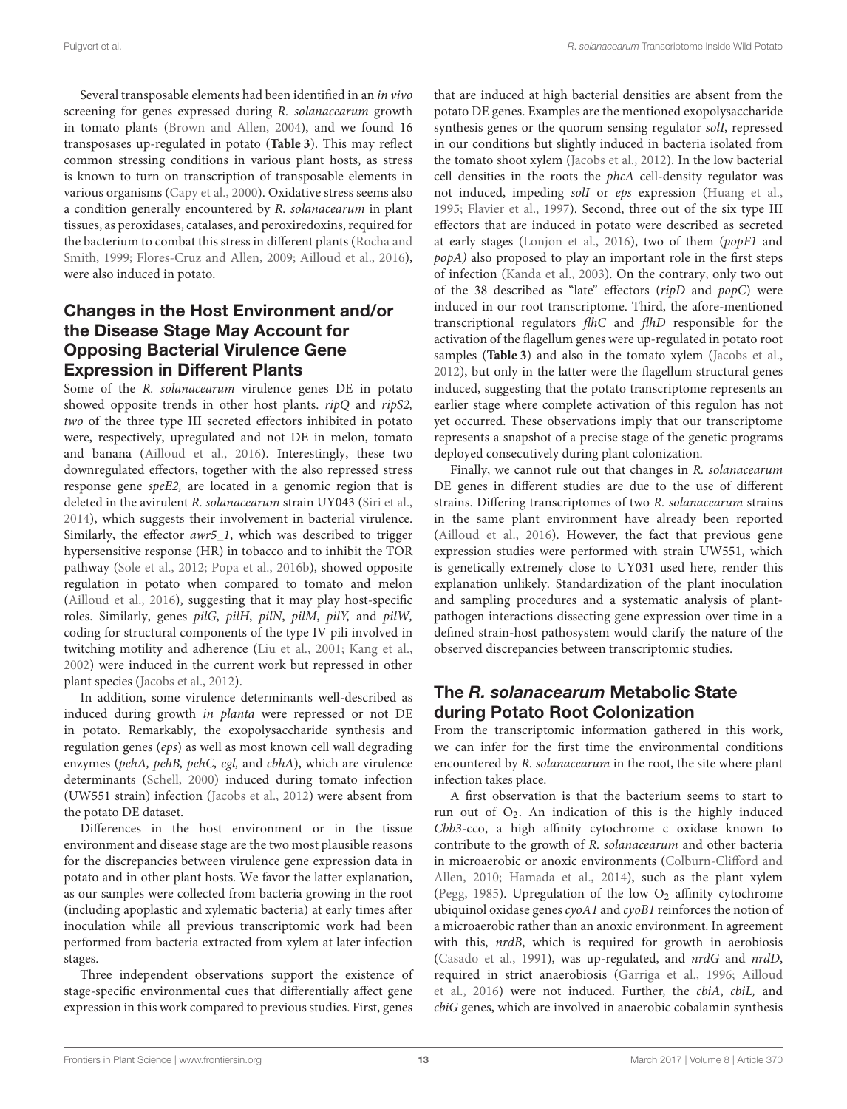Several transposable elements had been identified in an in vivo screening for genes expressed during R. solanacearum growth in tomato plants [\(Brown and Allen, 2004\)](#page-14-7), and we found 16 transposases up-regulated in potato (**[Table 3](#page-6-0)**). This may reflect common stressing conditions in various plant hosts, as stress is known to turn on transcription of transposable elements in various organisms [\(Capy et al., 2000\)](#page-14-8). Oxidative stress seems also a condition generally encountered by R. solanacearum in plant tissues, as peroxidases, catalases, and peroxiredoxins, required for the bacterium to combat this stress in different plants (Rocha and Smith, [1999;](#page-16-15) [Flores-Cruz and Allen, 2009;](#page-15-17) [Ailloud et al., 2016\)](#page-14-3), were also induced in potato.

# Changes in the Host Environment and/or the Disease Stage May Account for Opposing Bacterial Virulence Gene Expression in Different Plants

Some of the R. solanacearum virulence genes DE in potato showed opposite trends in other host plants.  $ripQ$  and  $ripS2$ , two of the three type III secreted effectors inhibited in potato were, respectively, upregulated and not DE in melon, tomato and banana [\(Ailloud et al., 2016\)](#page-14-3). Interestingly, these two downregulated effectors, together with the also repressed stress response gene speE2, are located in a genomic region that is deleted in the avirulent R. solanacearum strain UY043 [\(Siri et al.,](#page-16-18) [2014\)](#page-16-18), which suggests their involvement in bacterial virulence. Similarly, the effector *awr5\_1*, which was described to trigger hypersensitive response (HR) in tobacco and to inhibit the TOR pathway [\(Sole et al., 2012;](#page-16-19) [Popa et al., 2016b\)](#page-16-20), showed opposite regulation in potato when compared to tomato and melon [\(Ailloud et al., 2016\)](#page-14-3), suggesting that it may play host-specific roles. Similarly, genes pilG, pilH, pilN, pilM, pilY, and pilW, coding for structural components of the type IV pili involved in twitching motility and adherence [\(Liu et al., 2001;](#page-15-24) [Kang et al.,](#page-15-14) [2002\)](#page-15-14) were induced in the current work but repressed in other plant species [\(Jacobs et al., 2012\)](#page-15-5).

In addition, some virulence determinants well-described as induced during growth in planta were repressed or not DE in potato. Remarkably, the exopolysaccharide synthesis and regulation genes (eps) as well as most known cell wall degrading enzymes (pehA, pehB, pehC, egl, and cbhA), which are virulence determinants [\(Schell, 2000\)](#page-16-21) induced during tomato infection (UW551 strain) infection [\(Jacobs et al., 2012\)](#page-15-5) were absent from the potato DE dataset.

Differences in the host environment or in the tissue environment and disease stage are the two most plausible reasons for the discrepancies between virulence gene expression data in potato and in other plant hosts. We favor the latter explanation, as our samples were collected from bacteria growing in the root (including apoplastic and xylematic bacteria) at early times after inoculation while all previous transcriptomic work had been performed from bacteria extracted from xylem at later infection stages.

Three independent observations support the existence of stage-specific environmental cues that differentially affect gene expression in this work compared to previous studies. First, genes that are induced at high bacterial densities are absent from the potato DE genes. Examples are the mentioned exopolysaccharide synthesis genes or the quorum sensing regulator solI, repressed in our conditions but slightly induced in bacteria isolated from the tomato shoot xylem [\(Jacobs et al., 2012\)](#page-15-5). In the low bacterial cell densities in the roots the phcA cell-density regulator was not induced, impeding solI or eps expression [\(Huang et al.,](#page-15-25) [1995;](#page-15-25) [Flavier et al., 1997\)](#page-15-19). Second, three out of the six type III effectors that are induced in potato were described as secreted at early stages [\(Lonjon et al., 2016\)](#page-15-26), two of them (popF1 and popA) also proposed to play an important role in the first steps of infection [\(Kanda et al., 2003\)](#page-15-27). On the contrary, only two out of the 38 described as "late" effectors (ripD and popC) were induced in our root transcriptome. Third, the afore-mentioned transcriptional regulators flhC and flhD responsible for the activation of the flagellum genes were up-regulated in potato root samples (**[Table 3](#page-6-0)**) and also in the tomato xylem [\(Jacobs et al.,](#page-15-5) [2012\)](#page-15-5), but only in the latter were the flagellum structural genes induced, suggesting that the potato transcriptome represents an earlier stage where complete activation of this regulon has not yet occurred. These observations imply that our transcriptome represents a snapshot of a precise stage of the genetic programs deployed consecutively during plant colonization.

Finally, we cannot rule out that changes in R. solanacearum DE genes in different studies are due to the use of different strains. Differing transcriptomes of two R. solanacearum strains in the same plant environment have already been reported [\(Ailloud et al., 2016\)](#page-14-3). However, the fact that previous gene expression studies were performed with strain UW551, which is genetically extremely close to UY031 used here, render this explanation unlikely. Standardization of the plant inoculation and sampling procedures and a systematic analysis of plantpathogen interactions dissecting gene expression over time in a defined strain-host pathosystem would clarify the nature of the observed discrepancies between transcriptomic studies.

### The *R. solanacearum* Metabolic State during Potato Root Colonization

From the transcriptomic information gathered in this work, we can infer for the first time the environmental conditions encountered by R. solanacearum in the root, the site where plant infection takes place.

A first observation is that the bacterium seems to start to run out of  $O_2$ . An indication of this is the highly induced Cbb3-cco, a high affinity cytochrome c oxidase known to contribute to the growth of R. solanacearum and other bacteria in microaerobic or anoxic environments (Colburn-Clifford and Allen, [2010;](#page-14-9) [Hamada et al., 2014\)](#page-15-28), such as the plant xylem [\(Pegg, 1985\)](#page-16-22). Upregulation of the low  $O_2$  affinity cytochrome ubiquinol oxidase genes  $\c{c}y{oA1}$  and  $\c{c}y{oB1}$  reinforces the notion of a microaerobic rather than an anoxic environment. In agreement with this, nrdB, which is required for growth in aerobiosis [\(Casado et al., 1991\)](#page-14-10), was up-regulated, and nrdG and nrdD, required in strict anaerobiosis [\(Garriga et al., 1996;](#page-15-29) Ailloud et al., [2016\)](#page-14-3) were not induced. Further, the cbiA, cbiL, and cbiG genes, which are involved in anaerobic cobalamin synthesis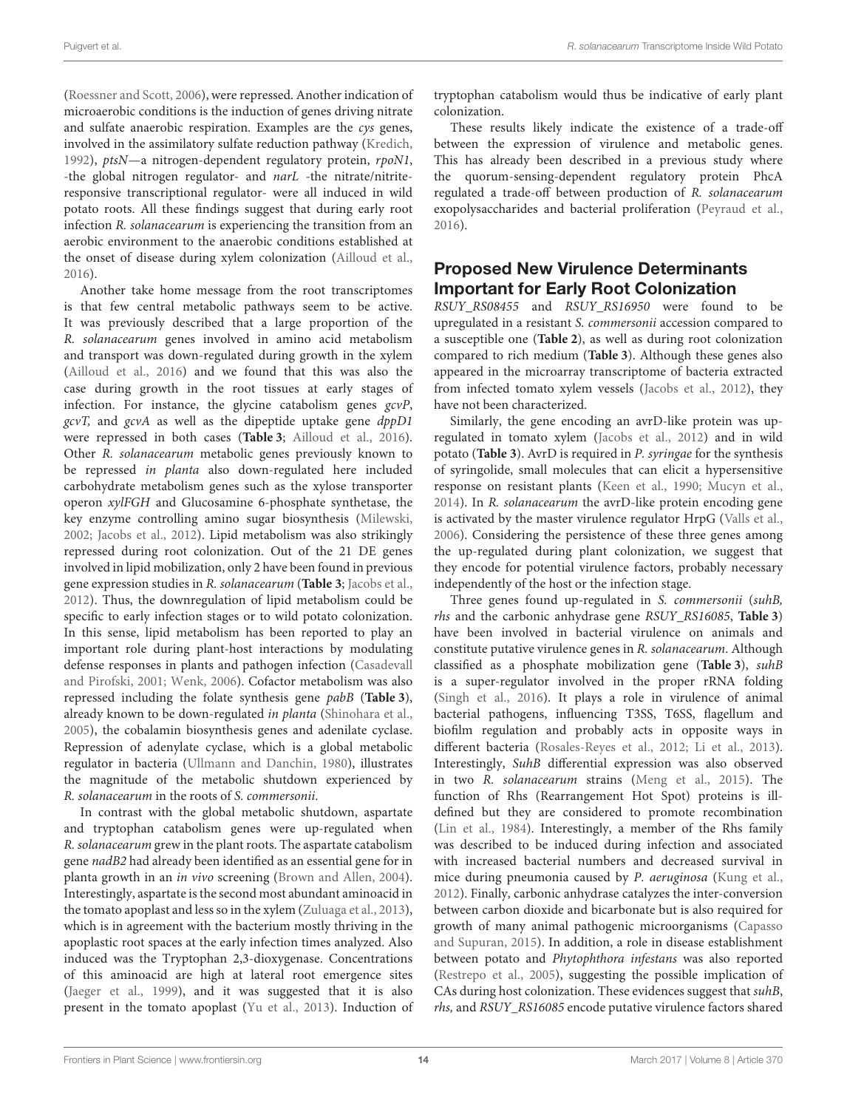[\(Roessner and Scott, 2006\)](#page-16-23), were repressed. Another indication of microaerobic conditions is the induction of genes driving nitrate and sulfate anaerobic respiration. Examples are the cys genes, involved in the assimilatory sulfate reduction pathway [\(Kredich,](#page-15-30) [1992\)](#page-15-30), ptsN—a nitrogen-dependent regulatory protein, rpoN1, -the global nitrogen regulator- and narL -the nitrate/nitriteresponsive transcriptional regulator- were all induced in wild potato roots. All these findings suggest that during early root infection R. solanacearum is experiencing the transition from an aerobic environment to the anaerobic conditions established at the onset of disease during xylem colonization [\(Ailloud et al.,](#page-14-3) [2016\)](#page-14-3).

Another take home message from the root transcriptomes is that few central metabolic pathways seem to be active. It was previously described that a large proportion of the R. solanacearum genes involved in amino acid metabolism and transport was down-regulated during growth in the xylem [\(Ailloud et al., 2016\)](#page-14-3) and we found that this was also the case during growth in the root tissues at early stages of infection. For instance, the glycine catabolism genes gcvP, gcvT, and gcvA as well as the dipeptide uptake gene dppD1 were repressed in both cases (**[Table 3](#page-6-0)**; [Ailloud et al., 2016\)](#page-14-3). Other R. solanacearum metabolic genes previously known to be repressed in planta also down-regulated here included carbohydrate metabolism genes such as the xylose transporter operon xylFGH and Glucosamine 6-phosphate synthetase, the key enzyme controlling amino sugar biosynthesis [\(Milewski,](#page-15-31) [2002;](#page-15-31) [Jacobs et al., 2012\)](#page-15-5). Lipid metabolism was also strikingly repressed during root colonization. Out of the 21 DE genes involved in lipid mobilization, only 2 have been found in previous gene expression studies in R. solanacearum (**[Table 3](#page-6-0)**; [Jacobs et al.,](#page-15-5) [2012\)](#page-15-5). Thus, the downregulation of lipid metabolism could be specific to early infection stages or to wild potato colonization. In this sense, lipid metabolism has been reported to play an important role during plant-host interactions by modulating defense responses in plants and pathogen infection (Casadevall and Pirofski, [2001;](#page-14-11) [Wenk, 2006\)](#page-16-24). Cofactor metabolism was also repressed including the folate synthesis gene pabB (**[Table 3](#page-6-0)**), already known to be down-regulated in planta [\(Shinohara et al.,](#page-16-25) [2005\)](#page-16-25), the cobalamin biosynthesis genes and adenilate cyclase. Repression of adenylate cyclase, which is a global metabolic regulator in bacteria [\(Ullmann and Danchin, 1980\)](#page-16-26), illustrates the magnitude of the metabolic shutdown experienced by R. solanacearum in the roots of S. commersonii.

In contrast with the global metabolic shutdown, aspartate and tryptophan catabolism genes were up-regulated when R. solanacearum grew in the plant roots. The aspartate catabolism gene nadB2 had already been identified as an essential gene for in planta growth in an in vivo screening [\(Brown and Allen, 2004\)](#page-14-7). Interestingly, aspartate is the second most abundant aminoacid in the tomato apoplast and less so in the xylem [\(Zuluaga et al., 2013\)](#page-16-27), which is in agreement with the bacterium mostly thriving in the apoplastic root spaces at the early infection times analyzed. Also induced was the Tryptophan 2,3-dioxygenase. Concentrations of this aminoacid are high at lateral root emergence sites [\(Jaeger et al., 1999\)](#page-15-32), and it was suggested that it is also present in the tomato apoplast [\(Yu et al., 2013\)](#page-16-11). Induction of tryptophan catabolism would thus be indicative of early plant colonization.

These results likely indicate the existence of a trade-off between the expression of virulence and metabolic genes. This has already been described in a previous study where the quorum-sensing-dependent regulatory protein PhcA regulated a trade-off between production of R. solanacearum exopolysaccharides and bacterial proliferation [\(Peyraud et al.,](#page-16-28) [2016\)](#page-16-28).

### Proposed New Virulence Determinants Important for Early Root Colonization

RSUY\_RS08455 and RSUY\_RS16950 were found to be upregulated in a resistant S. commersonii accession compared to a susceptible one (**[Table 2](#page-4-0)**), as well as during root colonization compared to rich medium (**[Table 3](#page-6-0)**). Although these genes also appeared in the microarray transcriptome of bacteria extracted from infected tomato xylem vessels [\(Jacobs et al., 2012\)](#page-15-5), they have not been characterized.

Similarly, the gene encoding an avrD-like protein was upregulated in tomato xylem [\(Jacobs et al., 2012\)](#page-15-5) and in wild potato (**[Table 3](#page-6-0)**). AvrD is required in P. syringae for the synthesis of syringolide, small molecules that can elicit a hypersensitive response on resistant plants [\(Keen et al., 1990;](#page-15-33) [Mucyn et al.,](#page-16-29) [2014\)](#page-16-29). In R. solanacearum the avrD-like protein encoding gene is activated by the master virulence regulator HrpG [\(Valls et al.,](#page-16-6) [2006\)](#page-16-6). Considering the persistence of these three genes among the up-regulated during plant colonization, we suggest that they encode for potential virulence factors, probably necessary independently of the host or the infection stage.

Three genes found up-regulated in S. commersonii (suhB, rhs and the carbonic anhydrase gene RSUY\_RS16085, **[Table 3](#page-6-0)**) have been involved in bacterial virulence on animals and constitute putative virulence genes in R. solanacearum. Although classified as a phosphate mobilization gene (**[Table 3](#page-6-0)**), suhB is a super-regulator involved in the proper rRNA folding [\(Singh et al., 2016\)](#page-16-30). It plays a role in virulence of animal bacterial pathogens, influencing T3SS, T6SS, flagellum and biofilm regulation and probably acts in opposite ways in different bacteria [\(Rosales-Reyes et al., 2012;](#page-16-16) [Li et al., 2013\)](#page-15-21). Interestingly, SuhB differential expression was also observed in two R. solanacearum strains [\(Meng et al., 2015\)](#page-15-12). The function of Rhs (Rearrangement Hot Spot) proteins is illdefined but they are considered to promote recombination [\(Lin et al., 1984\)](#page-15-34). Interestingly, a member of the Rhs family was described to be induced during infection and associated with increased bacterial numbers and decreased survival in mice during pneumonia caused by P. aeruginosa [\(Kung et al.,](#page-15-22) [2012\)](#page-15-22). Finally, carbonic anhydrase catalyzes the inter-conversion between carbon dioxide and bicarbonate but is also required for growth of many animal pathogenic microorganisms (Capasso and Supuran, [2015\)](#page-14-12). In addition, a role in disease establishment between potato and Phytophthora infestans was also reported [\(Restrepo et al., 2005\)](#page-16-17), suggesting the possible implication of CAs during host colonization. These evidences suggest that suhB, rhs, and RSUY\_RS16085 encode putative virulence factors shared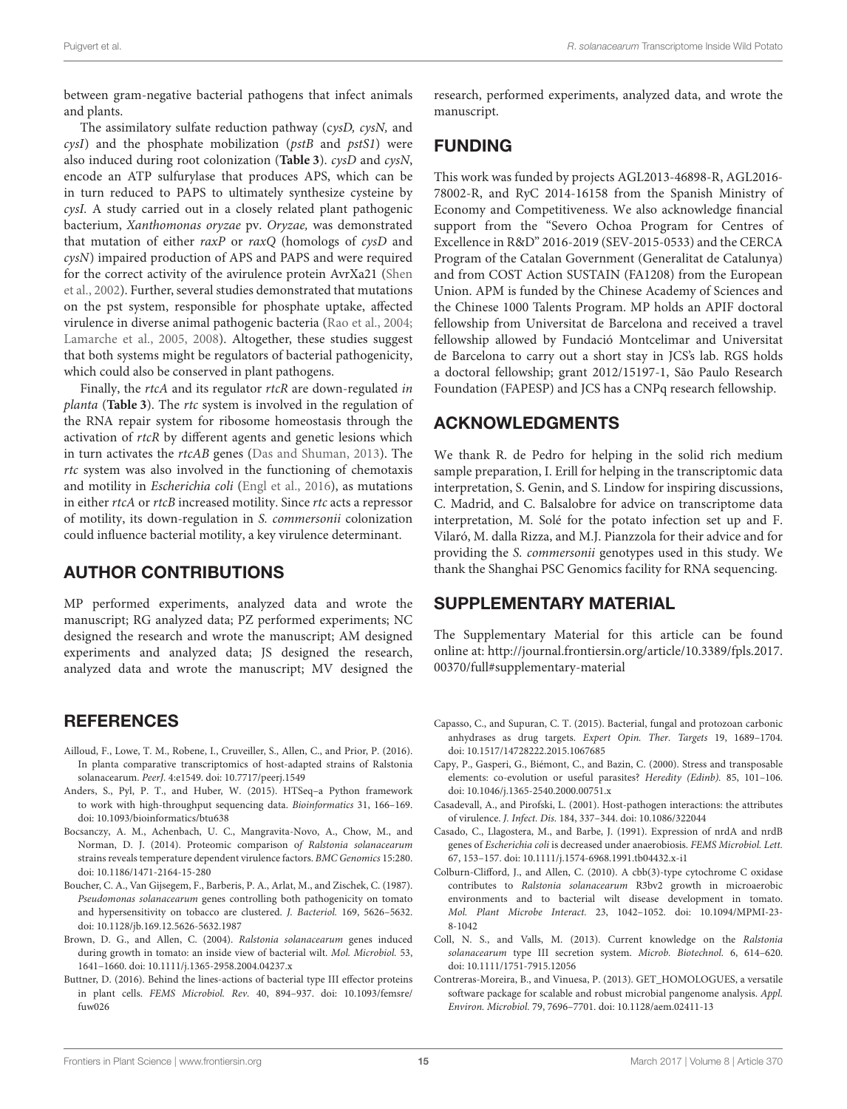between gram-negative bacterial pathogens that infect animals and plants.

The assimilatory sulfate reduction pathway (cysD, cysN, and cysI) and the phosphate mobilization (pstB and pstS1) were also induced during root colonization (**[Table 3](#page-6-0)**). cysD and cysN, encode an ATP sulfurylase that produces APS, which can be in turn reduced to PAPS to ultimately synthesize cysteine by cysI. A study carried out in a closely related plant pathogenic bacterium, Xanthomonas oryzae pv. Oryzae, was demonstrated that mutation of either raxP or raxQ (homologs of cysD and cysN) impaired production of APS and PAPS and were required for the correct activity of the avirulence protein AvrXa21 (Shen et al., [2002\)](#page-16-31). Further, several studies demonstrated that mutations on the pst system, responsible for phosphate uptake, affected virulence in diverse animal pathogenic bacteria [\(Rao et al., 2004;](#page-16-32) [Lamarche et al., 2005,](#page-15-35) [2008\)](#page-15-36). Altogether, these studies suggest that both systems might be regulators of bacterial pathogenicity, which could also be conserved in plant pathogens.

Finally, the rtcA and its regulator rtcR are down-regulated in planta (**[Table 3](#page-6-0)**). The rtc system is involved in the regulation of the RNA repair system for ribosome homeostasis through the activation of rtcR by different agents and genetic lesions which in turn activates the rtcAB genes [\(Das and Shuman, 2013\)](#page-15-23). The rtc system was also involved in the functioning of chemotaxis and motility in Escherichia coli [\(Engl et al., 2016\)](#page-15-37), as mutations in either *rtcA* or *rtcB* increased motility. Since *rtc* acts a repressor of motility, its down-regulation in S. commersonii colonization could influence bacterial motility, a key virulence determinant.

#### AUTHOR CONTRIBUTIONS

MP performed experiments, analyzed data and wrote the manuscript; RG analyzed data; PZ performed experiments; NC designed the research and wrote the manuscript; AM designed experiments and analyzed data; JS designed the research, analyzed data and wrote the manuscript; MV designed the

#### **REFERENCES**

- <span id="page-14-3"></span>Ailloud, F., Lowe, T. M., Robene, I., Cruveiller, S., Allen, C., and Prior, P. (2016). In planta comparative transcriptomics of host-adapted strains of Ralstonia solanacearum. PeerJ. 4:e1549. doi: [10.7717/peerj.1549](https://doi.org/10.7717/peerj.1549)
- <span id="page-14-4"></span>Anders, S., Pyl, P. T., and Huber, W. (2015). HTSeq–a Python framework to work with high-throughput sequencing data. Bioinformatics 31, 166–169. doi: [10.1093/bioinformatics/btu638](https://doi.org/10.1093/bioinformatics/btu638)
- <span id="page-14-6"></span>Bocsanczy, A. M., Achenbach, U. C., Mangravita-Novo, A., Chow, M., and Norman, D. J. (2014). Proteomic comparison of Ralstonia solanacearum strains reveals temperature dependent virulence factors. BMC Genomics 15:280. doi: [10.1186/1471-2164-15-280](https://doi.org/10.1186/1471-2164-15-280)
- <span id="page-14-1"></span>Boucher, C. A., Van Gijsegem, F., Barberis, P. A., Arlat, M., and Zischek, C. (1987). Pseudomonas solanacearum genes controlling both pathogenicity on tomato and hypersensitivity on tobacco are clustered. J. Bacteriol. 169, 5626–5632. doi: [10.1128/jb.169.12.5626-5632.1987](https://doi.org/10.1128/jb.169.12.5626-5632.1987)
- <span id="page-14-7"></span>Brown, D. G., and Allen, C. (2004). Ralstonia solanacearum genes induced during growth in tomato: an inside view of bacterial wilt. Mol. Microbiol. 53, 1641–1660. doi: [10.1111/j.1365-2958.2004.04237.x](https://doi.org/10.1111/j.1365-2958.2004.04237.x)
- <span id="page-14-2"></span>Buttner, D. (2016). Behind the lines-actions of bacterial type III effector proteins in plant cells. FEMS Microbiol. Rev. [40, 894–937. doi: 10.1093/femsre/](https://doi.org/10.1093/femsre/fuw026) fuw026

research, performed experiments, analyzed data, and wrote the manuscript.

# FUNDING

This work was funded by projects AGL2013-46898-R, AGL2016- 78002-R, and RyC 2014-16158 from the Spanish Ministry of Economy and Competitiveness. We also acknowledge financial support from the "Severo Ochoa Program for Centres of Excellence in R&D" 2016-2019 (SEV-2015-0533) and the CERCA Program of the Catalan Government (Generalitat de Catalunya) and from COST Action SUSTAIN (FA1208) from the European Union. APM is funded by the Chinese Academy of Sciences and the Chinese 1000 Talents Program. MP holds an APIF doctoral fellowship from Universitat de Barcelona and received a travel fellowship allowed by Fundació Montcelimar and Universitat de Barcelona to carry out a short stay in JCS's lab. RGS holds a doctoral fellowship; grant 2012/15197-1, São Paulo Research Foundation (FAPESP) and JCS has a CNPq research fellowship.

### ACKNOWLEDGMENTS

We thank R. de Pedro for helping in the solid rich medium sample preparation, I. Erill for helping in the transcriptomic data interpretation, S. Genin, and S. Lindow for inspiring discussions, C. Madrid, and C. Balsalobre for advice on transcriptome data interpretation, M. Solé for the potato infection set up and F. Vilaró, M. dalla Rizza, and M.J. Pianzzola for their advice and for providing the S. commersonii genotypes used in this study. We thank the Shanghai PSC Genomics facility for RNA sequencing.

#### SUPPLEMENTARY MATERIAL

The Supplementary Material for this article can be found [online at: http://journal.frontiersin.org/article/10.3389/fpls.2017.](http://journal.frontiersin.org/article/10.3389/fpls.2017.00370/full#supplementary-material) 00370/full#supplementary-material

- <span id="page-14-12"></span>Capasso, C., and Supuran, C. T. (2015). Bacterial, fungal and protozoan carbonic anhydrases as drug targets. Expert Opin. Ther. Targets 19, 1689–1704. doi: [10.1517/14728222.2015.1067685](https://doi.org/10.1517/14728222.2015.1067685)
- <span id="page-14-8"></span>Capy, P., Gasperi, G., Biémont, C., and Bazin, C. (2000). Stress and transposable elements: co-evolution or useful parasites? Heredity (Edinb). 85, 101–106. doi: [10.1046/j.1365-2540.2000.00751.x](https://doi.org/10.1046/j.1365-2540.2000.00751.x)
- <span id="page-14-11"></span>Casadevall, A., and Pirofski, L. (2001). Host-pathogen interactions: the attributes of virulence. J. Infect. Dis. 184, 337–344. doi: [10.1086/322044](https://doi.org/10.1086/322044)
- <span id="page-14-10"></span>Casado, C., Llagostera, M., and Barbe, J. (1991). Expression of nrdA and nrdB genes of Escherichia coli is decreased under anaerobiosis. FEMS Microbiol. Lett. 67, 153–157. doi: [10.1111/j.1574-6968.1991.tb04432.x-i1](https://doi.org/10.1111/j.1574-6968.1991.tb04432.x-i1)
- <span id="page-14-9"></span>Colburn-Clifford, J., and Allen, C. (2010). A cbb(3)-type cytochrome C oxidase contributes to Ralstonia solanacearum R3bv2 growth in microaerobic environments and to bacterial wilt disease development in tomato. Mol. Plant Microbe Interact. [23, 1042–1052. doi: 10.1094/MPMI-23-](https://doi.org/10.1094/MPMI-23-8-1042) 8-1042
- <span id="page-14-0"></span>Coll, N. S., and Valls, M. (2013). Current knowledge on the Ralstonia solanacearum type III secretion system. Microb. Biotechnol. 6, 614–620. doi: [10.1111/1751-7915.12056](https://doi.org/10.1111/1751-7915.12056)
- <span id="page-14-5"></span>Contreras-Moreira, B., and Vinuesa, P. (2013). GET\_HOMOLOGUES, a versatile software package for scalable and robust microbial pangenome analysis. Appl. Environ. Microbiol. 79, 7696–7701. doi: [10.1128/aem.02411-13](https://doi.org/10.1128/aem.02411-13)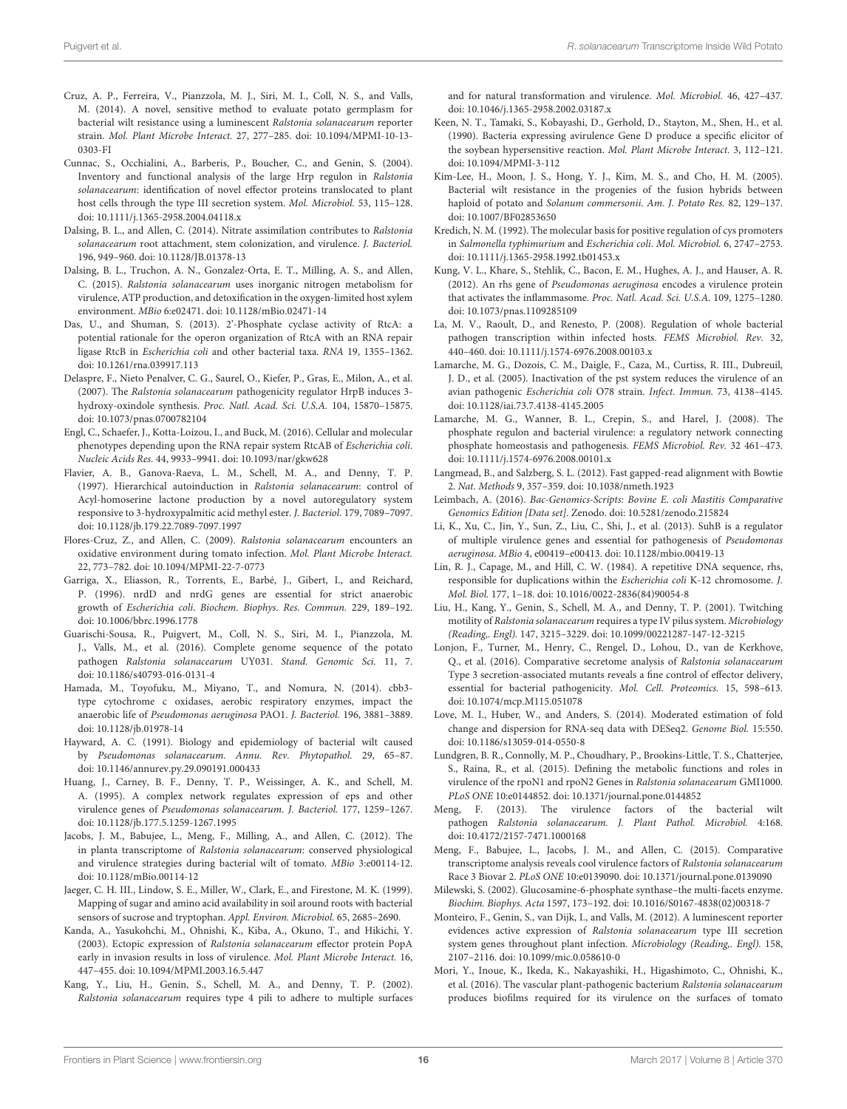- <span id="page-15-6"></span>Cruz, A. P., Ferreira, V., Pianzzola, M. J., Siri, M. I., Coll, N. S., and Valls, M. (2014). A novel, sensitive method to evaluate potato germplasm for bacterial wilt resistance using a luminescent Ralstonia solanacearum reporter strain. Mol. Plant Microbe Interact. [27, 277–285. doi: 10.1094/MPMI-10-13-](https://doi.org/10.1094/MPMI-10-13-0303-FI) 0303-FI
- <span id="page-15-13"></span>Cunnac, S., Occhialini, A., Barberis, P., Boucher, C., and Genin, S. (2004). Inventory and functional analysis of the large Hrp regulon in Ralstonia solanacearum: identification of novel effector proteins translocated to plant host cells through the type III secretion system. Mol. Microbiol. 53, 115–128. doi: [10.1111/j.1365-2958.2004.04118.x](https://doi.org/10.1111/j.1365-2958.2004.04118.x)
- <span id="page-15-18"></span>Dalsing, B. L., and Allen, C. (2014). Nitrate assimilation contributes to Ralstonia solanacearum root attachment, stem colonization, and virulence. J. Bacteriol. 196, 949–960. doi: [10.1128/JB.01378-13](https://doi.org/10.1128/JB.01378-13)
- <span id="page-15-20"></span>Dalsing, B. L., Truchon, A. N., Gonzalez-Orta, E. T., Milling, A. S., and Allen, C. (2015). Ralstonia solanacearum uses inorganic nitrogen metabolism for virulence, ATP production, and detoxification in the oxygen-limited host xylem environment. MBio 6:e02471. doi: [10.1128/mBio.02471-14](https://doi.org/10.1128/mBio.02471-14)
- <span id="page-15-23"></span>Das, U., and Shuman, S. (2013). 2'-Phosphate cyclase activity of RtcA: a potential rationale for the operon organization of RtcA with an RNA repair ligase RtcB in Escherichia coli and other bacterial taxa. RNA 19, 1355–1362. doi: [10.1261/rna.039917.113](https://doi.org/10.1261/rna.039917.113)
- <span id="page-15-15"></span>Delaspre, F., Nieto Penalver, C. G., Saurel, O., Kiefer, P., Gras, E., Milon, A., et al. (2007). The Ralstonia solanacearum pathogenicity regulator HrpB induces 3 hydroxy-oxindole synthesis. Proc. Natl. Acad. Sci. U.S.A. 104, 15870–15875. doi: [10.1073/pnas.0700782104](https://doi.org/10.1073/pnas.0700782104)
- <span id="page-15-37"></span>Engl, C., Schaefer, J., Kotta-Loizou, I., and Buck, M. (2016). Cellular and molecular phenotypes depending upon the RNA repair system RtcAB of Escherichia coli. Nucleic Acids Res. 44, 9933–9941. doi: [10.1093/nar/gkw628](https://doi.org/10.1093/nar/gkw628)
- <span id="page-15-19"></span>Flavier, A. B., Ganova-Raeva, L. M., Schell, M. A., and Denny, T. P. (1997). Hierarchical autoinduction in Ralstonia solanacearum: control of Acyl-homoserine lactone production by a novel autoregulatory system responsive to 3-hydroxypalmitic acid methyl ester. J. Bacteriol. 179, 7089–7097. doi: [10.1128/jb.179.22.7089-7097.1997](https://doi.org/10.1128/jb.179.22.7089-7097.1997)
- <span id="page-15-17"></span>Flores-Cruz, Z., and Allen, C. (2009). Ralstonia solanacearum encounters an oxidative environment during tomato infection. Mol. Plant Microbe Interact. 22, 773–782. doi: [10.1094/MPMI-22-7-0773](https://doi.org/10.1094/MPMI-22-7-0773)
- <span id="page-15-29"></span>Garriga, X., Eliasson, R., Torrents, E., Barbé, J., Gibert, I., and Reichard, P. (1996). nrdD and nrdG genes are essential for strict anaerobic growth of Escherichia coli. Biochem. Biophys. Res. Commun. 229, 189–192. doi: [10.1006/bbrc.1996.1778](https://doi.org/10.1006/bbrc.1996.1778)
- <span id="page-15-8"></span>Guarischi-Sousa, R., Puigvert, M., Coll, N. S., Siri, M. I., Pianzzola, M. J., Valls, M., et al. (2016). Complete genome sequence of the potato pathogen Ralstonia solanacearum UY031. Stand. Genomic Sci. 11, 7. doi: [10.1186/s40793-016-0131-4](https://doi.org/10.1186/s40793-016-0131-4)
- <span id="page-15-28"></span>Hamada, M., Toyofuku, M., Miyano, T., and Nomura, N. (2014). cbb3 type cytochrome c oxidases, aerobic respiratory enzymes, impact the anaerobic life of Pseudomonas aeruginosa PAO1. J. Bacteriol. 196, 3881–3889. doi: [10.1128/jb.01978-14](https://doi.org/10.1128/jb.01978-14)
- <span id="page-15-1"></span>Hayward, A. C. (1991). Biology and epidemiology of bacterial wilt caused by Pseudomonas solanacearum. Annu. Rev. Phytopathol. 29, 65–87. doi: [10.1146/annurev.py.29.090191.000433](https://doi.org/10.1146/annurev.py.29.090191.000433)
- <span id="page-15-25"></span>Huang, J., Carney, B. F., Denny, T. P., Weissinger, A. K., and Schell, M. A. (1995). A complex network regulates expression of eps and other virulence genes of Pseudomonas solanacearum. J. Bacteriol. 177, 1259–1267. doi: [10.1128/jb.177.5.1259-1267.1995](https://doi.org/10.1128/jb.177.5.1259-1267.1995)
- <span id="page-15-5"></span>Jacobs, J. M., Babujee, L., Meng, F., Milling, A., and Allen, C. (2012). The in planta transcriptome of Ralstonia solanacearum: conserved physiological and virulence strategies during bacterial wilt of tomato. MBio 3:e00114-12. doi: [10.1128/mBio.00114-12](https://doi.org/10.1128/mBio.00114-12)
- <span id="page-15-32"></span>Jaeger, C. H. III., Lindow, S. E., Miller, W., Clark, E., and Firestone, M. K. (1999). Mapping of sugar and amino acid availability in soil around roots with bacterial sensors of sucrose and tryptophan. Appl. Environ. Microbiol. 65, 2685–2690.
- <span id="page-15-27"></span>Kanda, A., Yasukohchi, M., Ohnishi, K., Kiba, A., Okuno, T., and Hikichi, Y. (2003). Ectopic expression of Ralstonia solanacearum effector protein PopA early in invasion results in loss of virulence. Mol. Plant Microbe Interact. 16, 447–455. doi: [10.1094/MPMI.2003.16.5.447](https://doi.org/10.1094/MPMI.2003.16.5.447)
- <span id="page-15-14"></span>Kang, Y., Liu, H., Genin, S., Schell, M. A., and Denny, T. P. (2002). Ralstonia solanacearum requires type 4 pili to adhere to multiple surfaces

and for natural transformation and virulence. Mol. Microbiol. 46, 427–437. doi: [10.1046/j.1365-2958.2002.03187.x](https://doi.org/10.1046/j.1365-2958.2002.03187.x)

- <span id="page-15-33"></span>Keen, N. T., Tamaki, S., Kobayashi, D., Gerhold, D., Stayton, M., Shen, H., et al. (1990). Bacteria expressing avirulence Gene D produce a specific elicitor of the soybean hypersensitive reaction. Mol. Plant Microbe Interact. 3, 112–121. doi: [10.1094/MPMI-3-112](https://doi.org/10.1094/MPMI-3-112)
- <span id="page-15-2"></span>Kim-Lee, H., Moon, J. S., Hong, Y. J., Kim, M. S., and Cho, H. M. (2005). Bacterial wilt resistance in the progenies of the fusion hybrids between haploid of potato and Solanum commersonii. Am. J. Potato Res. 82, 129–137. doi: [10.1007/BF02853650](https://doi.org/10.1007/BF02853650)
- <span id="page-15-30"></span>Kredich, N. M. (1992). The molecular basis for positive regulation of cys promoters in Salmonella typhimurium and Escherichia coli. Mol. Microbiol. 6, 2747–2753. doi: [10.1111/j.1365-2958.1992.tb01453.x](https://doi.org/10.1111/j.1365-2958.1992.tb01453.x)
- <span id="page-15-22"></span>Kung, V. L., Khare, S., Stehlik, C., Bacon, E. M., Hughes, A. J., and Hauser, A. R. (2012). An rhs gene of Pseudomonas aeruginosa encodes a virulence protein that activates the inflammasome. Proc. Natl. Acad. Sci. U.S.A. 109, 1275–1280. doi: [10.1073/pnas.1109285109](https://doi.org/10.1073/pnas.1109285109)
- <span id="page-15-0"></span>La, M. V., Raoult, D., and Renesto, P. (2008). Regulation of whole bacterial pathogen transcription within infected hosts. FEMS Microbiol. Rev. 32, 440–460. doi: [10.1111/j.1574-6976.2008.00103.x](https://doi.org/10.1111/j.1574-6976.2008.00103.x)
- <span id="page-15-35"></span>Lamarche, M. G., Dozois, C. M., Daigle, F., Caza, M., Curtiss, R. III., Dubreuil, J. D., et al. (2005). Inactivation of the pst system reduces the virulence of an avian pathogenic Escherichia coli O78 strain. Infect. Immun. 73, 4138–4145. doi: [10.1128/iai.73.7.4138-4145.2005](https://doi.org/10.1128/iai.73.7.4138-4145.2005)
- <span id="page-15-36"></span>Lamarche, M. G., Wanner, B. L., Crepin, S., and Harel, J. (2008). The phosphate regulon and bacterial virulence: a regulatory network connecting phosphate homeostasis and pathogenesis. FEMS Microbiol. Rev. 32 461–473. doi: [10.1111/j.1574-6976.2008.00101.x](https://doi.org/10.1111/j.1574-6976.2008.00101.x)
- <span id="page-15-7"></span>Langmead, B., and Salzberg, S. L. (2012). Fast gapped-read alignment with Bowtie 2. Nat. Methods 9, 357–359. doi: [10.1038/nmeth.1923](https://doi.org/10.1038/nmeth.1923)
- <span id="page-15-10"></span>Leimbach, A. (2016). Bac-Genomics-Scripts: Bovine E. coli Mastitis Comparative Genomics Edition [Data set]. Zenodo. doi: [10.5281/zenodo.215824](https://doi.org/10.5281/zenodo.215824)
- <span id="page-15-21"></span>Li, K., Xu, C., Jin, Y., Sun, Z., Liu, C., Shi, J., et al. (2013). SuhB is a regulator of multiple virulence genes and essential for pathogenesis of Pseudomonas aeruginosa. MBio 4, e00419–e00413. doi: [10.1128/mbio.00419-13](https://doi.org/10.1128/mbio.00419-13)
- <span id="page-15-34"></span>Lin, R. J., Capage, M., and Hill, C. W. (1984). A repetitive DNA sequence, rhs, responsible for duplications within the Escherichia coli K-12 chromosome. J. Mol. Biol. 177, 1–18. doi: [10.1016/0022-2836\(84\)90054-8](https://doi.org/10.1016/0022-2836(84)90054-8)
- <span id="page-15-24"></span>Liu, H., Kang, Y., Genin, S., Schell, M. A., and Denny, T. P. (2001). Twitching motility of Ralstonia solanacearum requires a type IV pilus system. Microbiology (Reading,. Engl). 147, 3215–3229. doi: [10.1099/00221287-147-12-3215](https://doi.org/10.1099/00221287-147-12-3215)
- <span id="page-15-26"></span>Lonjon, F., Turner, M., Henry, C., Rengel, D., Lohou, D., van de Kerkhove, Q., et al. (2016). Comparative secretome analysis of Ralstonia solanacearum Type 3 secretion-associated mutants reveals a fine control of effector delivery, essential for bacterial pathogenicity. Mol. Cell. Proteomics. 15, 598–613. doi: [10.1074/mcp.M115.051078](https://doi.org/10.1074/mcp.M115.051078)
- <span id="page-15-9"></span>Love, M. I., Huber, W., and Anders, S. (2014). Moderated estimation of fold change and dispersion for RNA-seq data with DESeq2. Genome Biol. 15:550. doi: [10.1186/s13059-014-0550-8](https://doi.org/10.1186/s13059-014-0550-8)
- <span id="page-15-16"></span>Lundgren, B. R., Connolly, M. P., Choudhary, P., Brookins-Little, T. S., Chatterjee, S., Raina, R., et al. (2015). Defining the metabolic functions and roles in virulence of the rpoN1 and rpoN2 Genes in Ralstonia solanacearum GMI1000. PLoS ONE 10:e0144852. doi: [10.1371/journal.pone.0144852](https://doi.org/10.1371/journal.pone.0144852)
- <span id="page-15-3"></span>Meng, F. (2013). The virulence factors of the bacterial wilt pathogen Ralstonia solanacearum. J. Plant Pathol. Microbiol. 4:168. doi: [10.4172/2157-7471.1000168](https://doi.org/10.4172/2157-7471.1000168)
- <span id="page-15-12"></span>Meng, F., Babujee, L., Jacobs, J. M., and Allen, C. (2015). Comparative transcriptome analysis reveals cool virulence factors of Ralstonia solanacearum Race 3 Biovar 2. PLoS ONE 10:e0139090. doi: [10.1371/journal.pone.0139090](https://doi.org/10.1371/journal.pone.0139090)
- <span id="page-15-31"></span>Milewski, S. (2002). Glucosamine-6-phosphate synthase–the multi-facets enzyme. Biochim. Biophys. Acta 1597, 173–192. doi: [10.1016/S0167-4838\(02\)00318-7](https://doi.org/10.1016/S0167-4838(02)00318-7)
- <span id="page-15-4"></span>Monteiro, F., Genin, S., van Dijk, I., and Valls, M. (2012). A luminescent reporter evidences active expression of Ralstonia solanacearum type III secretion system genes throughout plant infection. Microbiology (Reading,. Engl). 158, 2107–2116. doi: [10.1099/mic.0.058610-0](https://doi.org/10.1099/mic.0.058610-0)
- <span id="page-15-11"></span>Mori, Y., Inoue, K., Ikeda, K., Nakayashiki, H., Higashimoto, C., Ohnishi, K., et al. (2016). The vascular plant-pathogenic bacterium Ralstonia solanacearum produces biofilms required for its virulence on the surfaces of tomato